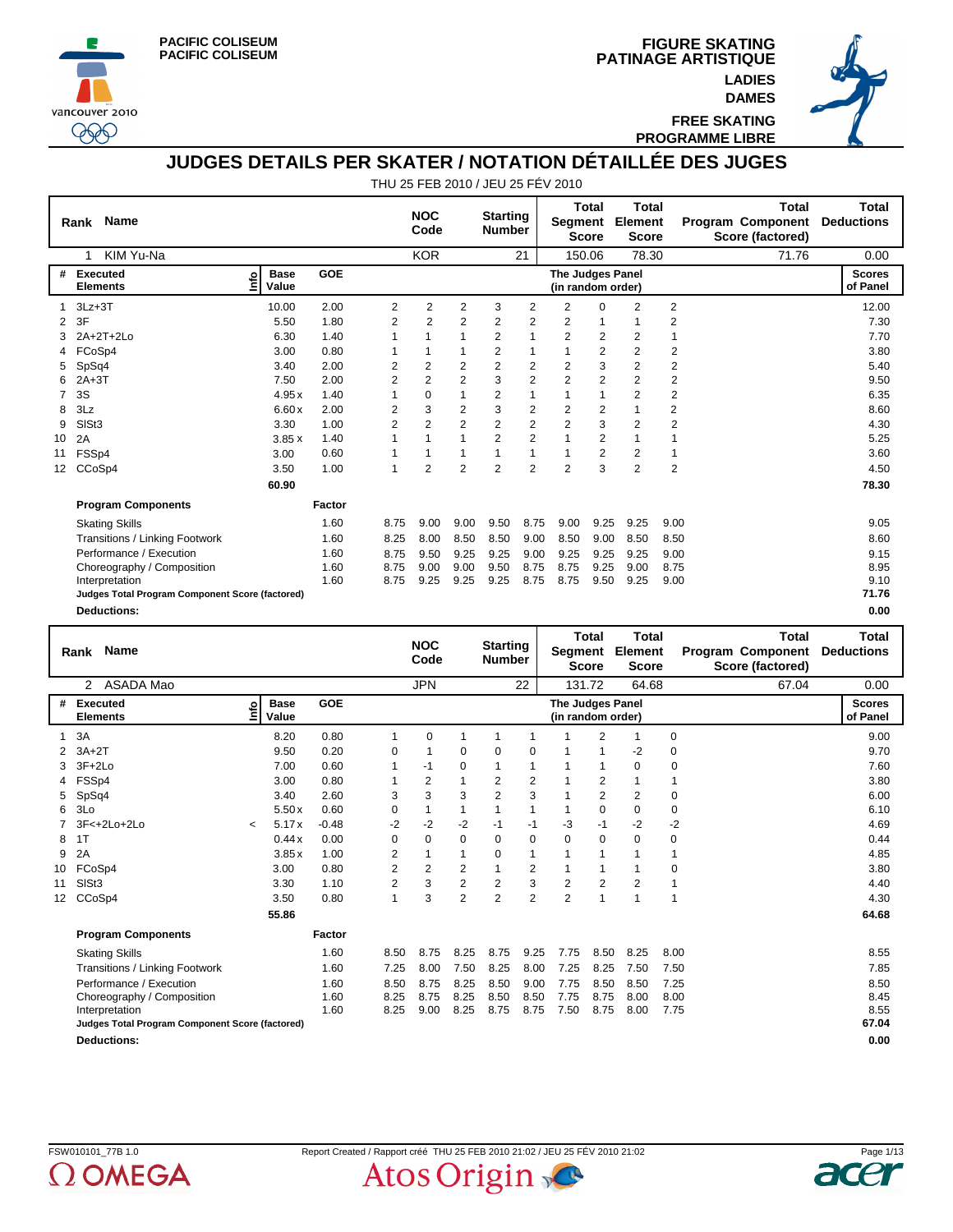





**FREE SKATING PROGRAMME LIBRE**

## **JUDGES DETAILS PER SKATER / NOTATION DÉTAILLÉE DES JUGES**

|    | <b>Name</b><br>Rank                             |                            |            |                | <b>NOC</b><br>Code |                | <b>Starting</b><br><b>Number</b> |                         | Segment                                      | <b>Total</b><br><b>Score</b> | <b>Total</b><br>Element<br><b>Score</b> |                | <b>Program Component</b><br>Score (factored) | Total | <b>Total</b><br><b>Deductions</b> |
|----|-------------------------------------------------|----------------------------|------------|----------------|--------------------|----------------|----------------------------------|-------------------------|----------------------------------------------|------------------------------|-----------------------------------------|----------------|----------------------------------------------|-------|-----------------------------------|
|    | KIM Yu-Na<br>1                                  |                            |            |                | <b>KOR</b>         |                |                                  | 21                      |                                              | 150.06                       | 78.30                                   |                |                                              | 71.76 | 0.00                              |
| #  | Executed<br><b>Elements</b>                     | <b>Base</b><br>۴ò<br>Value | <b>GOE</b> |                |                    |                |                                  |                         | <b>The Judges Panel</b><br>(in random order) |                              |                                         |                |                                              |       | <b>Scores</b><br>of Panel         |
|    | $3Lz + 3T$                                      | 10.00                      | 2.00       | 2              | 2                  | 2              | 3                                | 2                       | 2                                            | $\Omega$                     | $\overline{2}$                          | $\overline{2}$ |                                              |       | 12.00                             |
| 2  | 3F                                              | 5.50                       | 1.80       | 2              | 2                  | 2              | 2                                | 2                       | 2                                            | 1                            |                                         | 2              |                                              |       | 7.30                              |
|    | 2A+2T+2Lo                                       | 6.30                       | 1.40       |                |                    |                | 2                                | 1                       | $\overline{2}$                               | 2                            | $\overline{2}$                          | $\mathbf{1}$   |                                              |       | 7.70                              |
|    | FCoSp4                                          | 3.00                       | 0.80       |                |                    |                | 2                                | 1                       |                                              | 2                            | $\overline{2}$                          | 2              |                                              |       | 3.80                              |
| 5  | SpSq4                                           | 3.40                       | 2.00       | 2              | 2                  | 2              | $\overline{2}$                   | 2                       | $\overline{2}$                               | 3                            | $\overline{2}$                          | 2              |                                              |       | 5.40                              |
| 6  | $2A+3T$                                         | 7.50                       | 2.00       | 2              | $\overline{2}$     | $\overline{2}$ | 3                                | $\overline{2}$          | $\overline{2}$                               | 2                            | $\overline{2}$                          | 2              |                                              |       | 9.50                              |
|    | 3S                                              | 4.95x                      | 1.40       |                | $\Omega$           |                | 2                                |                         |                                              | 1                            | $\overline{2}$                          | 2              |                                              |       | 6.35                              |
| 8  | 3Lz                                             | 6.60x                      | 2.00       | 2              | 3                  | 2              | 3                                | 2                       | 2                                            | 2                            |                                         | 2              |                                              |       | 8.60                              |
| 9  | SISt3                                           | 3.30                       | 1.00       | $\overline{2}$ | $\overline{2}$     | $\overline{2}$ | 2                                | $\overline{\mathbf{c}}$ | $\overline{2}$                               | 3                            | 2                                       | 2              |                                              |       | 4.30                              |
| 10 | 2A                                              | 3.85x                      | 1.40       |                |                    |                | $\overline{2}$                   | $\overline{2}$          | 1                                            | 2                            |                                         |                |                                              |       | 5.25                              |
| 11 | FSSp4                                           | 3.00                       | 0.60       |                |                    |                |                                  | 1                       |                                              | 2                            | 2                                       | 1              |                                              |       | 3.60                              |
| 12 | CCoSp4                                          | 3.50                       | 1.00       | 1              | $\overline{2}$     | $\overline{2}$ | 2                                | $\overline{2}$          | $\overline{2}$                               | 3                            | $\overline{2}$                          | $\overline{2}$ |                                              |       | 4.50                              |
|    |                                                 | 60.90                      |            |                |                    |                |                                  |                         |                                              |                              |                                         |                |                                              |       | 78.30                             |
|    | <b>Program Components</b>                       |                            | Factor     |                |                    |                |                                  |                         |                                              |                              |                                         |                |                                              |       |                                   |
|    | <b>Skating Skills</b>                           |                            | 1.60       | 8.75           | 9.00               | 9.00           | 9.50                             | 8.75                    | 9.00                                         | 9.25                         | 9.25                                    | 9.00           |                                              |       | 9.05                              |
|    | Transitions / Linking Footwork                  |                            | 1.60       | 8.25           | 8.00               | 8.50           | 8.50                             | 9.00                    | 8.50                                         | 9.00                         | 8.50                                    | 8.50           |                                              |       | 8.60                              |
|    | Performance / Execution                         |                            | 1.60       | 8.75           | 9.50               | 9.25           | 9.25                             | 9.00                    | 9.25                                         | 9.25                         | 9.25                                    | 9.00           |                                              |       | 9.15                              |
|    | Choreography / Composition                      |                            | 1.60       | 8.75           | 9.00               | 9.00           | 9.50                             | 8.75                    | 8.75                                         | 9.25                         | 9.00                                    | 8.75           |                                              |       | 8.95                              |
|    | Interpretation                                  |                            | 1.60       | 8.75           | 9.25               | 9.25           | 9.25                             | 8.75                    | 8.75                                         | 9.50                         | 9.25                                    | 9.00           |                                              |       | 9.10                              |
|    | Judges Total Program Component Score (factored) |                            |            |                |                    |                |                                  |                         |                                              |                              |                                         |                |                                              |       | 71.76                             |
|    | <b>Deductions:</b>                              |                            |            |                |                    |                |                                  |                         |                                              |                              |                                         |                |                                              |       | 0.00                              |

|                   | <b>Name</b><br>Rank                             |            |                      |         |                | <b>NOC</b><br>Code |                | <b>Starting</b><br><b>Number</b> |                | Segment                               | Total<br><b>Score</b> | <b>Total</b><br>Element<br><b>Score</b> |             | <b>Total</b><br><b>Program Component</b><br>Score (factored) | <b>Total</b><br><b>Deductions</b> |
|-------------------|-------------------------------------------------|------------|----------------------|---------|----------------|--------------------|----------------|----------------------------------|----------------|---------------------------------------|-----------------------|-----------------------------------------|-------------|--------------------------------------------------------------|-----------------------------------|
|                   | ASADA Mao<br>2                                  |            |                      |         |                | <b>JPN</b>         |                |                                  | 22             | 131.72                                |                       | 64.68                                   |             | 67.04                                                        | 0.00                              |
| #                 | Executed<br><b>Elements</b>                     | ۴۵         | <b>Base</b><br>Value | GOE     |                |                    |                |                                  |                | The Judges Panel<br>(in random order) |                       |                                         |             |                                                              | <b>Scores</b><br>of Panel         |
|                   | 3A                                              |            | 8.20                 | 0.80    | 1              | 0                  | 1              | 1                                |                |                                       | $\overline{2}$        | 1                                       | 0           |                                                              | 9.00                              |
|                   | $3A+2T$                                         |            | 9.50                 | 0.20    | 0              |                    | 0              | 0                                | 0              |                                       |                       | $-2$                                    | $\pmb{0}$   |                                                              | 9.70                              |
| 3                 | $3F+2Lo$                                        |            | 7.00                 | 0.60    | 1              | $-1$               | $\Omega$       | 1                                | 1              | 1                                     | 1                     | $\Omega$                                | 0           |                                                              | 7.60                              |
|                   | FSSp4                                           |            | 3.00                 | 0.80    |                | $\overline{2}$     | 1              | $\overline{2}$                   | $\overline{2}$ |                                       | 2                     |                                         |             |                                                              | 3.80                              |
| 5                 | SpSq4                                           |            | 3.40                 | 2.60    | 3              | 3                  | 3              | $\overline{2}$                   | 3              |                                       | $\overline{2}$        | $\overline{2}$                          | $\mathbf 0$ |                                                              | 6.00                              |
| 6                 | 3Lo                                             |            | 5.50x                | 0.60    | $\Omega$       | 1                  | 1              | 1                                | 1              | 1                                     | $\mathbf 0$           | $\Omega$                                | 0           |                                                              | 6.10                              |
|                   | 3F<+2Lo+2Lo                                     | $\tilde{}$ | 5.17x                | $-0.48$ | $-2$           | $-2$               | $-2$           | $-1$                             | $-1$           | -3                                    | $-1$                  | $-2$                                    | $-2$        |                                                              | 4.69                              |
| 8                 | 1T                                              |            | 0.44x                | 0.00    | $\Omega$       | 0                  | 0              | $\Omega$                         | 0              | $\Omega$                              | 0                     | $\Omega$                                | 0           |                                                              | 0.44                              |
| 9                 | 2A                                              |            | 3.85x                | 1.00    | $\overline{2}$ | 1                  | 1              | $\Omega$                         | $\mathbf{1}$   | 1                                     | 1                     |                                         |             |                                                              | 4.85                              |
| 10                | FCoSp4                                          |            | 3.00                 | 0.80    | 2              | 2                  | 2              |                                  | $\overline{2}$ |                                       |                       |                                         | 0           |                                                              | 3.80                              |
| 11                | SIS <sub>t3</sub>                               |            | 3.30                 | 1.10    | $\overline{2}$ | 3                  | $\overline{2}$ | 2                                | 3              | $\overline{2}$                        | 2                     | 2                                       |             |                                                              | 4.40                              |
| $12 \overline{ }$ | CCoSp4                                          |            | 3.50                 | 0.80    | $\mathbf{1}$   | 3                  | $\overline{2}$ | $\overline{2}$                   | $\overline{2}$ | $\overline{2}$                        | 1                     | 1                                       | 1           |                                                              | 4.30                              |
|                   |                                                 |            | 55.86                |         |                |                    |                |                                  |                |                                       |                       |                                         |             |                                                              | 64.68                             |
|                   | <b>Program Components</b>                       |            |                      | Factor  |                |                    |                |                                  |                |                                       |                       |                                         |             |                                                              |                                   |
|                   | <b>Skating Skills</b>                           |            |                      | 1.60    | 8.50           | 8.75               | 8.25           | 8.75                             | 9.25           | 7.75                                  | 8.50                  | 8.25                                    | 8.00        |                                                              | 8.55                              |
|                   | Transitions / Linking Footwork                  |            |                      | 1.60    | 7.25           | 8.00               | 7.50           | 8.25                             | 8.00           | 7.25                                  | 8.25                  | 7.50                                    | 7.50        |                                                              | 7.85                              |
|                   | Performance / Execution                         |            |                      | 1.60    | 8.50           | 8.75               | 8.25           | 8.50                             | 9.00           | 7.75                                  | 8.50                  | 8.50                                    | 7.25        |                                                              | 8.50                              |
|                   | Choreography / Composition                      |            |                      | 1.60    | 8.25           | 8.75               | 8.25           | 8.50                             | 8.50           | 7.75                                  | 8.75                  | 8.00                                    | 8.00        |                                                              | 8.45                              |
|                   | Interpretation                                  |            |                      | 1.60    | 8.25           | 9.00               | 8.25           | 8.75                             | 8.75           | 7.50                                  | 8.75                  | 8.00                                    | 7.75        |                                                              | 8.55                              |
|                   | Judges Total Program Component Score (factored) |            |                      |         |                |                    |                |                                  |                |                                       |                       |                                         |             |                                                              | 67.04                             |
|                   | <b>Deductions:</b>                              |            |                      |         |                |                    |                |                                  |                |                                       |                       |                                         |             |                                                              | 0.00                              |



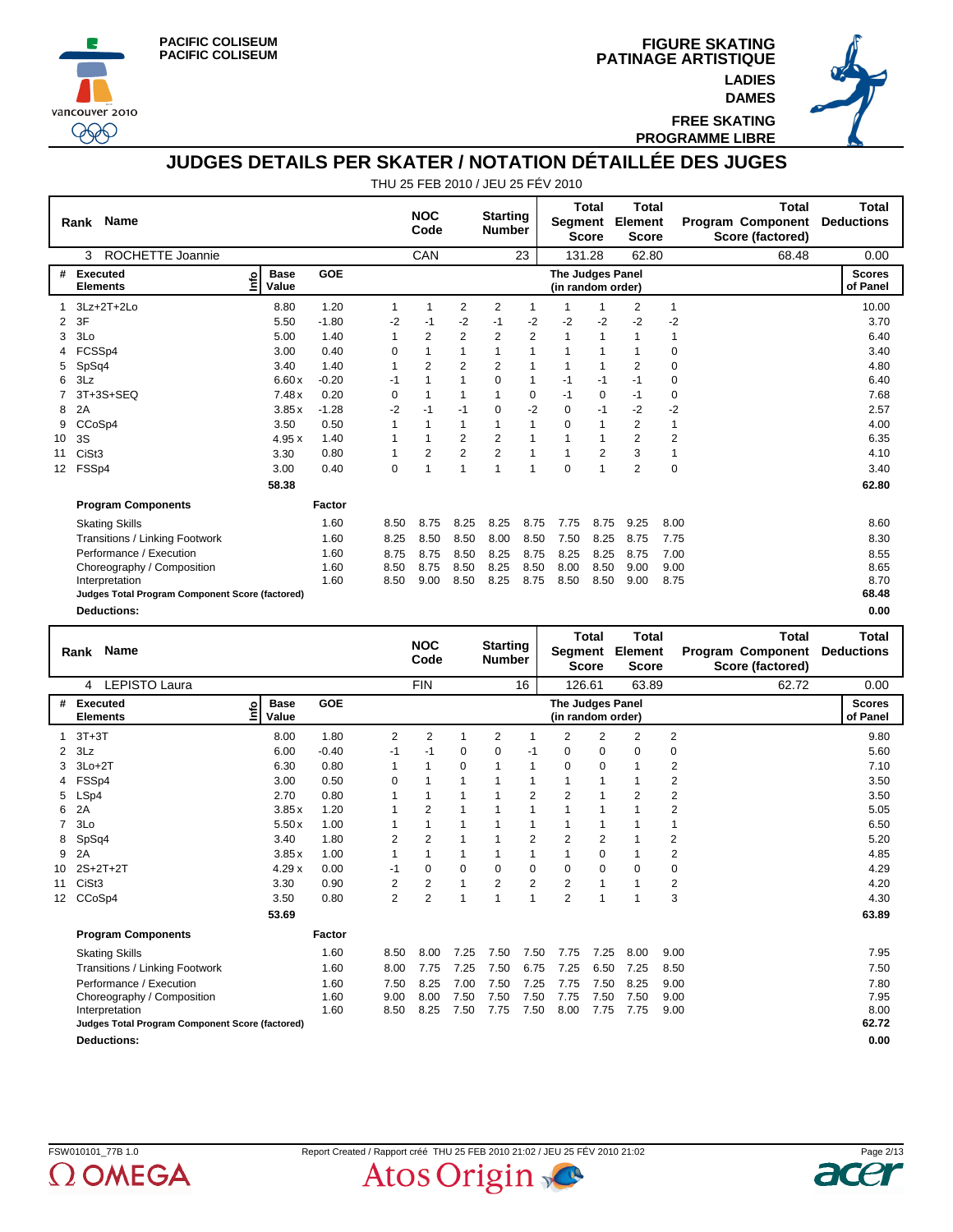





**FREE SKATING PROGRAMME LIBRE**

#### **JUDGES DETAILS PER SKATER / NOTATION DÉTAILLÉE DES JUGES**

|                 | <b>Name</b><br>Rank                             |                            |            |          | <b>NOC</b><br>Code |                | <b>Starting</b><br><b>Number</b> |                | Segment                               | <b>Total</b><br><b>Score</b> | Total<br>Element<br><b>Score</b> |              | <b>Total</b><br><b>Program Component</b><br>Score (factored) | <b>Total</b><br><b>Deductions</b> |
|-----------------|-------------------------------------------------|----------------------------|------------|----------|--------------------|----------------|----------------------------------|----------------|---------------------------------------|------------------------------|----------------------------------|--------------|--------------------------------------------------------------|-----------------------------------|
|                 | ROCHETTE Joannie<br>3                           |                            |            |          | CAN                |                |                                  | 23             |                                       | 131.28                       | 62.80                            |              | 68.48                                                        | 0.00                              |
| #               | <b>Executed</b><br><b>Elements</b>              | <b>Base</b><br>۴ò<br>Value | <b>GOE</b> |          |                    |                |                                  |                | The Judges Panel<br>(in random order) |                              |                                  |              |                                                              | <b>Scores</b><br>of Panel         |
|                 | 3Lz+2T+2Lo                                      | 8.80                       | 1.20       | 1        | 1                  | $\overline{2}$ | 2                                | 1              | 1                                     |                              | 2                                | $\mathbf{1}$ |                                                              | 10.00                             |
| 2               | 3F                                              | 5.50                       | $-1.80$    | $-2$     | $-1$               | $-2$           | $-1$                             | $-2$           | $-2$                                  | $-2$                         | $-2$                             | $-2$         |                                                              | 3.70                              |
| 3               | 3Lo                                             | 5.00                       | 1.40       |          | 2                  | $\overline{2}$ | 2                                | $\overline{2}$ | 1                                     | 1                            |                                  | 1            |                                                              | 6.40                              |
|                 | FCSSp4                                          | 3.00                       | 0.40       | 0        |                    |                |                                  | 1              |                                       | 1                            |                                  | 0            |                                                              | 3.40                              |
| 5               | SpSq4                                           | 3.40                       | 1.40       |          | $\overline{2}$     | $\overline{2}$ | 2                                |                |                                       | 1                            | $\overline{2}$                   | 0            |                                                              | 4.80                              |
| 6               | 3Lz                                             | 6.60x                      | $-0.20$    | -1       |                    |                | $\Omega$                         | 1              | $-1$                                  | $-1$                         | $-1$                             | 0            |                                                              | 6.40                              |
|                 | 3T+3S+SEQ                                       | 7.48x                      | 0.20       | $\Omega$ |                    |                |                                  | 0              | $-1$                                  | 0                            | $-1$                             | 0            |                                                              | 7.68                              |
| 8               | 2A                                              | 3.85x                      | $-1.28$    | $-2$     | $-1$               | $-1$           | $\Omega$                         | $-2$           | 0                                     | $-1$                         | -2                               | $-2$         |                                                              | 2.57                              |
| 9               | CCoSp4                                          | 3.50                       | 0.50       |          |                    |                |                                  | 1              | $\Omega$                              | 1                            | 2                                | 1            |                                                              | 4.00                              |
| 10              | 3S                                              | 4.95x                      | 1.40       |          |                    | $\overline{2}$ | $\overline{2}$                   |                |                                       | 1                            | $\overline{2}$                   | 2            |                                                              | 6.35                              |
| 11              | CiSt <sub>3</sub>                               | 3.30                       | 0.80       |          | $\overline{2}$     | $\overline{2}$ | $\overline{2}$                   |                | 1                                     | 2                            | 3                                | 1            |                                                              | 4.10                              |
| 12 <sup>2</sup> | FSSp4                                           | 3.00                       | 0.40       | 0        |                    |                | 1                                | 1              | 0                                     | 1                            | $\overline{2}$                   | $\mathbf 0$  |                                                              | 3.40                              |
|                 |                                                 | 58.38                      |            |          |                    |                |                                  |                |                                       |                              |                                  |              |                                                              | 62.80                             |
|                 | <b>Program Components</b>                       |                            | Factor     |          |                    |                |                                  |                |                                       |                              |                                  |              |                                                              |                                   |
|                 | <b>Skating Skills</b>                           |                            | 1.60       | 8.50     | 8.75               | 8.25           | 8.25                             | 8.75           | 7.75                                  | 8.75                         | 9.25                             | 8.00         |                                                              | 8.60                              |
|                 | Transitions / Linking Footwork                  |                            | 1.60       | 8.25     | 8.50               | 8.50           | 8.00                             | 8.50           | 7.50                                  | 8.25                         | 8.75                             | 7.75         |                                                              | 8.30                              |
|                 | Performance / Execution                         |                            | 1.60       | 8.75     | 8.75               | 8.50           | 8.25                             | 8.75           | 8.25                                  | 8.25                         | 8.75                             | 7.00         |                                                              | 8.55                              |
|                 | Choreography / Composition                      |                            | 1.60       | 8.50     | 8.75               | 8.50           | 8.25                             | 8.50           | 8.00                                  | 8.50                         | 9.00                             | 9.00         |                                                              | 8.65                              |
|                 | Interpretation                                  |                            | 1.60       | 8.50     | 9.00               | 8.50           | 8.25                             | 8.75           | 8.50                                  | 8.50                         | 9.00                             | 8.75         |                                                              | 8.70                              |
|                 | Judges Total Program Component Score (factored) |                            |            |          |                    |                |                                  |                |                                       |                              |                                  |              |                                                              | 68.48                             |
|                 | <b>Deductions:</b>                              |                            |            |          |                    |                |                                  |                |                                       |                              |                                  |              |                                                              | 0.00                              |

|                 | Rank Name                                       |                            |            |                | <b>NOC</b><br>Code |          | <b>Starting</b><br><b>Number</b> |                | Segment                               | Total<br><b>Score</b> | <b>Total</b><br>Element<br><b>Score</b> |                         | Total<br><b>Program Component</b><br>Score (factored) | Total<br><b>Deductions</b> |
|-----------------|-------------------------------------------------|----------------------------|------------|----------------|--------------------|----------|----------------------------------|----------------|---------------------------------------|-----------------------|-----------------------------------------|-------------------------|-------------------------------------------------------|----------------------------|
|                 | <b>LEPISTO Laura</b><br>4                       |                            |            |                | <b>FIN</b>         |          |                                  | 16             | 126.61                                |                       | 63.89                                   |                         | 62.72                                                 | 0.00                       |
| #               | Executed<br><b>Elements</b>                     | <b>Base</b><br>۴۵<br>Value | <b>GOE</b> |                |                    |          |                                  |                | The Judges Panel<br>(in random order) |                       |                                         |                         |                                                       | <b>Scores</b><br>of Panel  |
|                 | $3T+3T$                                         | 8.00                       | 1.80       | 2              | $\overline{2}$     |          | 2                                |                | 2                                     | 2                     | 2                                       | 2                       |                                                       | 9.80                       |
| 2               | 3Lz                                             | 6.00                       | $-0.40$    | $-1$           | $-1$               | $\Omega$ | $\Omega$                         | -1             | $\Omega$                              | 0                     | $\Omega$                                | 0                       |                                                       | 5.60                       |
| 3               | $3Lo+2T$                                        | 6.30                       | 0.80       | 1              | 1                  | 0        | 1                                | $\mathbf{1}$   | 0                                     | 0                     |                                         | 2                       |                                                       | 7.10                       |
|                 | FSSp4                                           | 3.00                       | 0.50       | 0              | 1                  |          |                                  | 1              |                                       | 1                     |                                         | $\overline{2}$          |                                                       | 3.50                       |
| 5               | LSp4                                            | 2.70                       | 0.80       |                |                    |          |                                  | $\overline{2}$ | $\overline{2}$                        |                       | $\overline{2}$                          | $\overline{2}$          |                                                       | 3.50                       |
| 6               | 2A                                              | 3.85x                      | 1.20       |                | 2                  |          |                                  | 1              |                                       |                       |                                         | 2                       |                                                       | 5.05                       |
|                 | 3Lo                                             | 5.50x                      | 1.00       |                | 1                  |          |                                  | 1              |                                       | 1                     |                                         |                         |                                                       | 6.50                       |
| 8               | SpSq4                                           | 3.40                       | 1.80       | $\overline{2}$ | $\overline{2}$     |          |                                  | $\overline{2}$ | 2                                     | $\overline{2}$        |                                         | 2                       |                                                       | 5.20                       |
| 9               | 2A                                              | 3.85x                      | 1.00       |                | 1                  |          |                                  | 1              |                                       | $\mathbf 0$           |                                         | $\overline{\mathbf{c}}$ |                                                       | 4.85                       |
| 10              | $2S+2T+2T$                                      | 4.29x                      | 0.00       | $-1$           | 0                  | 0        | $\Omega$                         | 0              | 0                                     | 0                     | $\Omega$                                | 0                       |                                                       | 4.29                       |
| 11              | CiSt <sub>3</sub>                               | 3.30                       | 0.90       | $\overline{2}$ | $\overline{2}$     | 1        | $\overline{2}$                   | $\overline{2}$ | 2                                     | 1                     |                                         | $\overline{2}$          |                                                       | 4.20                       |
| 12 <sup>2</sup> | CCoSp4                                          | 3.50                       | 0.80       | $\overline{2}$ | $\overline{2}$     | 1        | $\overline{ }$                   | $\overline{1}$ | $\overline{2}$                        | -1                    | 4                                       | 3                       |                                                       | 4.30                       |
|                 |                                                 | 53.69                      |            |                |                    |          |                                  |                |                                       |                       |                                         |                         |                                                       | 63.89                      |
|                 | <b>Program Components</b>                       |                            | Factor     |                |                    |          |                                  |                |                                       |                       |                                         |                         |                                                       |                            |
|                 | <b>Skating Skills</b>                           |                            | 1.60       | 8.50           | 8.00               | 7.25     | 7.50                             | 7.50           | 7.75                                  | 7.25                  | 8.00                                    | 9.00                    |                                                       | 7.95                       |
|                 | Transitions / Linking Footwork                  |                            | 1.60       | 8.00           | 7.75               | 7.25     | 7.50                             | 6.75           | 7.25                                  | 6.50                  | 7.25                                    | 8.50                    |                                                       | 7.50                       |
|                 | Performance / Execution                         |                            | 1.60       | 7.50           | 8.25               | 7.00     | 7.50                             | 7.25           | 7.75                                  | 7.50                  | 8.25                                    | 9.00                    |                                                       | 7.80                       |
|                 | Choreography / Composition                      |                            | 1.60       | 9.00           | 8.00               | 7.50     | 7.50                             | 7.50           | 7.75                                  | 7.50                  | 7.50                                    | 9.00                    |                                                       | 7.95                       |
|                 | Interpretation                                  |                            | 1.60       | 8.50           | 8.25               | 7.50     | 7.75                             | 7.50           | 8.00                                  | 7.75                  | 7.75                                    | 9.00                    |                                                       | 8.00                       |
|                 | Judges Total Program Component Score (factored) |                            |            |                |                    |          |                                  |                |                                       |                       |                                         |                         |                                                       | 62.72                      |
|                 | <b>Deductions:</b>                              |                            |            |                |                    |          |                                  |                |                                       |                       |                                         |                         |                                                       | 0.00                       |

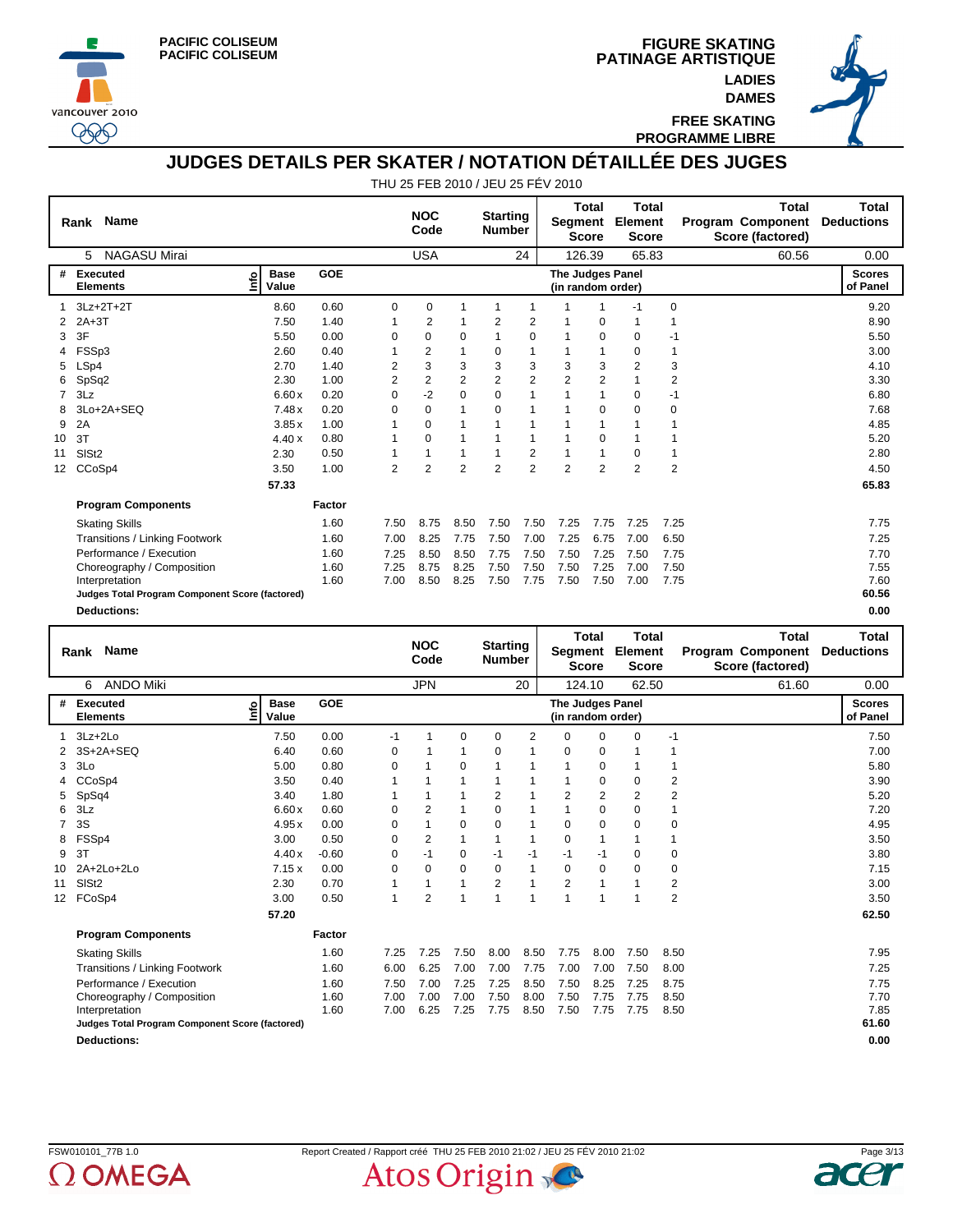



 $\circledcirc$ 

**PATINAGE ARTISTIQUE FIGURE SKATING LADIES DAMES**



**FREE SKATING PROGRAMME LIBRE**

#### **JUDGES DETAILS PER SKATER / NOTATION DÉTAILLÉE DES JUGES**

|    | <b>Name</b><br>Rank                             |                           |        |                | <b>NOC</b><br>Code |                | <b>Starting</b><br><b>Number</b> |                | Segment                                      | <b>Total</b><br><b>Score</b> | <b>Total</b><br>Element<br><b>Score</b> |                | <b>Total</b><br><b>Program Component</b><br>Score (factored) | Total<br><b>Deductions</b> |
|----|-------------------------------------------------|---------------------------|--------|----------------|--------------------|----------------|----------------------------------|----------------|----------------------------------------------|------------------------------|-----------------------------------------|----------------|--------------------------------------------------------------|----------------------------|
|    | <b>NAGASU Mirai</b><br>5                        |                           |        |                | <b>USA</b>         |                |                                  | 24             |                                              | 126.39                       | 65.83                                   |                | 60.56                                                        | 0.00                       |
| #  | Executed<br><b>Elements</b>                     | <b>Base</b><br>e<br>Value | GOE    |                |                    |                |                                  |                | <b>The Judges Panel</b><br>(in random order) |                              |                                         |                |                                                              | <b>Scores</b><br>of Panel  |
|    | $3Lz + 2T + 2T$                                 | 8.60                      | 0.60   | 0              | $\mathbf 0$        | 1              |                                  | 1              |                                              | 1                            | $-1$                                    | 0              |                                                              | 9.20                       |
|    | $2A+3T$                                         | 7.50                      | 1.40   |                | 2                  |                | 2                                | 2              |                                              | 0                            | 1                                       | 1              |                                                              | 8.90                       |
| 3  | 3F                                              | 5.50                      | 0.00   | 0              | 0                  | 0              |                                  | 0              |                                              | $\mathbf 0$                  | 0                                       | -1             |                                                              | 5.50                       |
|    | FSSp3                                           | 2.60                      | 0.40   | 1              | 2                  | 1              | 0                                | 1              |                                              | $\mathbf{1}$                 | $\Omega$                                | 1              |                                                              | 3.00                       |
| 5  | LSp4                                            | 2.70                      | 1.40   | 2              | 3                  | 3              | 3                                | 3              | 3                                            | 3                            | $\overline{2}$                          | 3              |                                                              | 4.10                       |
| 6  | SpSq2                                           | 2.30                      | 1.00   | 2              | 2                  | $\overline{2}$ | 2                                | $\overline{2}$ | $\overline{2}$                               | $\overline{2}$               |                                         | $\overline{2}$ |                                                              | 3.30                       |
|    | 3Lz                                             | 6.60x                     | 0.20   | 0              | $-2$               | 0              | 0                                | 1              |                                              | 1                            | 0                                       | $-1$           |                                                              | 6.80                       |
| 8  | 3Lo+2A+SEQ                                      | 7.48x                     | 0.20   | $\Omega$       | $\Omega$           |                | 0                                | 1              |                                              | $\Omega$                     | $\Omega$                                | 0              |                                                              | 7.68                       |
| 9  | 2A                                              | 3.85x                     | 1.00   |                | $\Omega$           |                |                                  | 1              |                                              | 1                            |                                         |                |                                                              | 4.85                       |
| 10 | 3T                                              | 4.40x                     | 0.80   |                | $\Omega$           |                |                                  | 1              |                                              | 0                            |                                         |                |                                                              | 5.20                       |
| 11 | SISt <sub>2</sub>                               | 2.30                      | 0.50   | 1              |                    |                |                                  | 2              |                                              | 1                            | $\Omega$                                | 1              |                                                              | 2.80                       |
| 12 | CCoSp4                                          | 3.50                      | 1.00   | $\overline{2}$ | $\overline{2}$     | $\overline{2}$ | $\overline{2}$                   | $\overline{2}$ | $\overline{2}$                               | $\overline{2}$               | $\overline{2}$                          | $\overline{2}$ |                                                              | 4.50                       |
|    |                                                 | 57.33                     |        |                |                    |                |                                  |                |                                              |                              |                                         |                |                                                              | 65.83                      |
|    | <b>Program Components</b>                       |                           | Factor |                |                    |                |                                  |                |                                              |                              |                                         |                |                                                              |                            |
|    | <b>Skating Skills</b>                           |                           | 1.60   | 7.50           | 8.75               | 8.50           | 7.50                             | 7.50           | 7.25                                         | 7.75                         | 7.25                                    | 7.25           |                                                              | 7.75                       |
|    | Transitions / Linking Footwork                  |                           | 1.60   | 7.00           | 8.25               | 7.75           | 7.50                             | 7.00           | 7.25                                         | 6.75                         | 7.00                                    | 6.50           |                                                              | 7.25                       |
|    | Performance / Execution                         |                           | 1.60   | 7.25           | 8.50               | 8.50           | 7.75                             | 7.50           | 7.50                                         | 7.25                         | 7.50                                    | 7.75           |                                                              | 7.70                       |
|    | Choreography / Composition                      |                           | 1.60   | 7.25           | 8.75               | 8.25           | 7.50                             | 7.50           | 7.50                                         | 7.25                         | 7.00                                    | 7.50           |                                                              | 7.55                       |
|    | Interpretation                                  |                           | 1.60   | 7.00           | 8.50               | 8.25           | 7.50                             | 7.75           | 7.50                                         | 7.50                         | 7.00                                    | 7.75           |                                                              | 7.60                       |
|    | Judges Total Program Component Score (factored) |                           |        |                |                    |                |                                  |                |                                              |                              |                                         |                |                                                              | 60.56                      |
|    | <b>Deductions:</b>                              |                           |        |                |                    |                |                                  |                |                                              |                              |                                         |                |                                                              | 0.00                       |

|                 | <b>Name</b><br>Rank                             |                            |         |              | <b>NOC</b><br>Code |          | <b>Starting</b><br><b>Number</b> |              | Segment                               | Total<br><b>Score</b> | <b>Total</b><br>Element<br><b>Score</b> |                | <b>Total</b><br>Program Component<br>Score (factored) | <b>Total</b><br><b>Deductions</b> |
|-----------------|-------------------------------------------------|----------------------------|---------|--------------|--------------------|----------|----------------------------------|--------------|---------------------------------------|-----------------------|-----------------------------------------|----------------|-------------------------------------------------------|-----------------------------------|
|                 | <b>ANDO Miki</b><br>6                           |                            |         |              | <b>JPN</b>         |          |                                  | 20           | 124.10                                |                       | 62.50                                   |                | 61.60                                                 | 0.00                              |
| #               | Executed<br><b>Elements</b>                     | <b>Base</b><br>۴۵<br>Value | GOE     |              |                    |          |                                  |              | The Judges Panel<br>(in random order) |                       |                                         |                |                                                       | <b>Scores</b><br>of Panel         |
|                 | $3Lz + 2Lo$                                     | 7.50                       | 0.00    | -1           | 1                  | 0        | 0                                | 2            | $\Omega$                              | 0                     | $\Omega$                                | $-1$           |                                                       | 7.50                              |
|                 | 3S+2A+SEQ                                       | 6.40                       | 0.60    | 0            |                    |          | 0                                |              | $\mathbf 0$                           | $\mathbf 0$           |                                         |                |                                                       | 7.00                              |
| 3               | 3Lo                                             | 5.00                       | 0.80    | $\Omega$     |                    | $\Omega$ | 1                                |              | 1                                     | $\mathbf 0$           |                                         |                |                                                       | 5.80                              |
|                 | CCoSp4                                          | 3.50                       | 0.40    |              |                    | 1        |                                  |              |                                       | 0                     | 0                                       | $\overline{2}$ |                                                       | 3.90                              |
| 5               | SpSq4                                           | 3.40                       | 1.80    |              |                    | 1        | 2                                |              | $\overline{2}$                        | $\overline{2}$        | 2                                       | 2              |                                                       | 5.20                              |
| 6               | 3Lz                                             | 6.60x                      | 0.60    | $\Omega$     | $\overline{2}$     | 1        | $\Omega$                         |              | 1                                     | $\mathbf 0$           | $\Omega$                                |                |                                                       | 7.20                              |
|                 | 3S                                              | 4.95x                      | 0.00    | $\Omega$     |                    | 0        | $\Omega$                         |              | $\mathbf 0$                           | 0                     | $\Omega$                                | 0              |                                                       | 4.95                              |
| 8               | FSSp4                                           | 3.00                       | 0.50    | $\Omega$     | $\overline{2}$     | 1        | 1                                | 1            | $\Omega$                              | 1                     |                                         | 1              |                                                       | 3.50                              |
| 9               | 3T                                              | 4.40x                      | $-0.60$ | 0            | $-1$               | 0        | $-1$                             | $-1$         | $-1$                                  | $-1$                  | 0                                       | $\mathbf 0$    |                                                       | 3.80                              |
| 10              | 2A+2Lo+2Lo                                      | 7.15x                      | 0.00    | 0            | 0                  | 0        | 0                                | $\mathbf{1}$ | $\mathbf 0$                           | $\mathbf 0$           | $\mathbf 0$                             | 0              |                                                       | 7.15                              |
| 11              | SIS <sub>t2</sub>                               | 2.30                       | 0.70    | 1            | 1                  | 1        | 2                                | 1            | $\overline{2}$                        | 1                     |                                         | 2              |                                                       | 3.00                              |
| 12 <sup>2</sup> | FCoSp4                                          | 3.00                       | 0.50    | $\mathbf{1}$ | $\overline{2}$     | 1        | 1                                | 1            | 1                                     |                       | 1                                       | $\overline{2}$ |                                                       | 3.50                              |
|                 |                                                 | 57.20                      |         |              |                    |          |                                  |              |                                       |                       |                                         |                |                                                       | 62.50                             |
|                 | <b>Program Components</b>                       |                            | Factor  |              |                    |          |                                  |              |                                       |                       |                                         |                |                                                       |                                   |
|                 | <b>Skating Skills</b>                           |                            | 1.60    | 7.25         | 7.25               | 7.50     | 8.00                             | 8.50         | 7.75                                  | 8.00                  | 7.50                                    | 8.50           |                                                       | 7.95                              |
|                 | Transitions / Linking Footwork                  |                            | 1.60    | 6.00         | 6.25               | 7.00     | 7.00                             | 7.75         | 7.00                                  | 7.00                  | 7.50                                    | 8.00           |                                                       | 7.25                              |
|                 | Performance / Execution                         |                            | 1.60    | 7.50         | 7.00               | 7.25     | 7.25                             | 8.50         | 7.50                                  | 8.25                  | 7.25                                    | 8.75           |                                                       | 7.75                              |
|                 | Choreography / Composition                      |                            | 1.60    | 7.00         | 7.00               | 7.00     | 7.50                             | 8.00         | 7.50                                  | 7.75                  | 7.75                                    | 8.50           |                                                       | 7.70                              |
|                 | Interpretation                                  |                            | 1.60    | 7.00         | 6.25               | 7.25     | 7.75                             | 8.50         | 7.50                                  | 7.75                  | 7.75                                    | 8.50           |                                                       | 7.85                              |
|                 | Judges Total Program Component Score (factored) |                            |         |              |                    |          |                                  |              |                                       |                       |                                         |                |                                                       | 61.60                             |
|                 | <b>Deductions:</b>                              |                            |         |              |                    |          |                                  |              |                                       |                       |                                         |                |                                                       | 0.00                              |



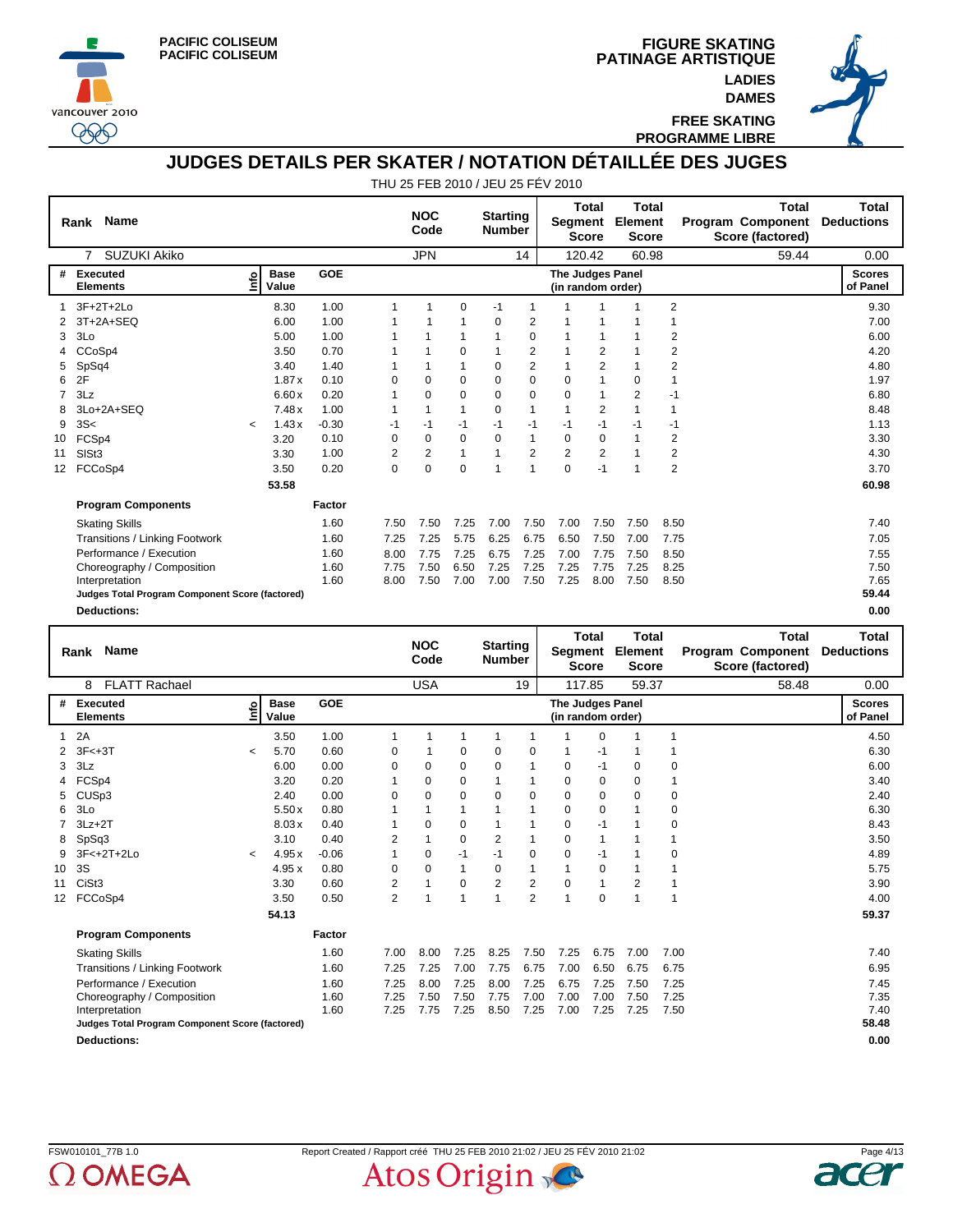





**FREE SKATING PROGRAMME LIBRE**

## **JUDGES DETAILS PER SKATER / NOTATION DÉTAILLÉE DES JUGES**

|                   | Rank Name                                       |         |                      |         |          | <b>NOC</b><br>Code |             | <b>Starting</b><br><b>Number</b> |                | Segment                               | Total<br><b>Score</b> | <b>Total</b><br>Element<br><b>Score</b> |                         | <b>Total</b><br><b>Program Component</b><br>Score (factored) | <b>Total</b><br><b>Deductions</b> |
|-------------------|-------------------------------------------------|---------|----------------------|---------|----------|--------------------|-------------|----------------------------------|----------------|---------------------------------------|-----------------------|-----------------------------------------|-------------------------|--------------------------------------------------------------|-----------------------------------|
|                   | <b>SUZUKI Akiko</b><br>$\overline{7}$           |         |                      |         |          | <b>JPN</b>         |             |                                  | 14             |                                       | 120.42                | 60.98                                   |                         | 59.44                                                        | 0.00                              |
| #                 | <b>Executed</b><br><b>Elements</b>              | ۴o      | <b>Base</b><br>Value | GOE     |          |                    |             |                                  |                | The Judges Panel<br>(in random order) |                       |                                         |                         |                                                              | <b>Scores</b><br>of Panel         |
|                   | $3F+2T+2Lo$                                     |         | 8.30                 | 1.00    | 1        |                    | 0           | $-1$                             | 1              |                                       |                       |                                         | $\overline{2}$          |                                                              | 9.30                              |
|                   | 3T+2A+SEQ                                       |         | 6.00                 | 1.00    |          |                    |             | 0                                | $\overline{2}$ |                                       |                       |                                         | 1                       |                                                              | 7.00                              |
| 3                 | 3Lo                                             |         | 5.00                 | 1.00    |          |                    |             |                                  | 0              |                                       | 1                     |                                         | 2                       |                                                              | 6.00                              |
|                   | CCoSp4                                          |         | 3.50                 | 0.70    |          |                    | 0           |                                  | 2              |                                       | 2                     |                                         | $\overline{\mathbf{c}}$ |                                                              | 4.20                              |
| 5                 | SpSq4                                           |         | 3.40                 | 1.40    |          |                    |             | 0                                | $\overline{2}$ |                                       | $\overline{2}$        |                                         | 2                       |                                                              | 4.80                              |
| 6                 | 2F                                              |         | 1.87x                | 0.10    | $\Omega$ | $\Omega$           | $\Omega$    | $\Omega$                         | $\Omega$       | $\Omega$                              | 1                     | $\Omega$                                |                         |                                                              | 1.97                              |
|                   | 3Lz                                             |         | 6.60x                | 0.20    |          | $\Omega$           | 0           | 0                                | 0              | $\Omega$                              | 1                     | $\overline{2}$                          | $-1$                    |                                                              | 6.80                              |
| 8                 | 3Lo+2A+SEQ                                      |         | 7.48x                | 1.00    | 1        |                    | 1           | 0                                | 1              | 1                                     | $\overline{2}$        | $\mathbf{1}$                            | $\mathbf{1}$            |                                                              | 8.48                              |
| 9                 | 3S<                                             | $\prec$ | 1.43x                | $-0.30$ | -1       | $-1$               | $-1$        | $-1$                             | $-1$           | $-1$                                  | $-1$                  | -1                                      | $-1$                    |                                                              | 1.13                              |
| 10                | FCSp4                                           |         | 3.20                 | 0.10    | 0        | 0                  | $\mathbf 0$ | $\mathbf 0$                      | 1              | 0                                     | 0                     |                                         | 2                       |                                                              | 3.30                              |
| 11                | SIS <sub>t3</sub>                               |         | 3.30                 | 1.00    | 2        | 2                  | 1           |                                  | $\overline{2}$ | 2                                     | 2                     |                                         | 2                       |                                                              | 4.30                              |
| $12 \overline{ }$ | FCCoSp4                                         |         | 3.50                 | 0.20    | 0        | $\Omega$           | 0           |                                  | 1              | 0                                     | $-1$                  |                                         | 2                       |                                                              | 3.70                              |
|                   |                                                 |         | 53.58                |         |          |                    |             |                                  |                |                                       |                       |                                         |                         |                                                              | 60.98                             |
|                   | <b>Program Components</b>                       |         |                      | Factor  |          |                    |             |                                  |                |                                       |                       |                                         |                         |                                                              |                                   |
|                   | <b>Skating Skills</b>                           |         |                      | 1.60    | 7.50     | 7.50               | 7.25        | 7.00                             | 7.50           | 7.00                                  | 7.50                  | 7.50                                    | 8.50                    |                                                              | 7.40                              |
|                   | Transitions / Linking Footwork                  |         |                      | 1.60    | 7.25     | 7.25               | 5.75        | 6.25                             | 6.75           | 6.50                                  | 7.50                  | 7.00                                    | 7.75                    |                                                              | 7.05                              |
|                   | Performance / Execution                         |         |                      | 1.60    | 8.00     | 7.75               | 7.25        | 6.75                             | 7.25           | 7.00                                  | 7.75                  | 7.50                                    | 8.50                    |                                                              | 7.55                              |
|                   | Choreography / Composition                      |         |                      | 1.60    | 7.75     | 7.50               | 6.50        | 7.25                             | 7.25           | 7.25                                  | 7.75                  | 7.25                                    | 8.25                    |                                                              | 7.50                              |
|                   | Interpretation                                  |         |                      | 1.60    | 8.00     | 7.50               | 7.00        | 7.00                             | 7.50           | 7.25                                  | 8.00                  | 7.50                                    | 8.50                    |                                                              | 7.65                              |
|                   | Judges Total Program Component Score (factored) |         |                      |         |          |                    |             |                                  |                |                                       |                       |                                         |                         |                                                              | 59.44                             |
|                   | <b>Deductions:</b>                              |         |                      |         |          |                    |             |                                  |                |                                       |                       |                                         |                         |                                                              | 0.00                              |

|    | <b>Name</b><br>Rank                             |         |                      |            |                | <b>NOC</b><br>Code |      | <b>Starting</b><br><b>Number</b> |                | Segment                               | <b>Total</b><br><b>Score</b> | <b>Total</b><br>Element<br><b>Score</b> |      | Total<br><b>Program Component</b><br>Score (factored) | Total<br><b>Deductions</b> |
|----|-------------------------------------------------|---------|----------------------|------------|----------------|--------------------|------|----------------------------------|----------------|---------------------------------------|------------------------------|-----------------------------------------|------|-------------------------------------------------------|----------------------------|
|    | <b>FLATT Rachael</b><br>8                       |         |                      |            |                | <b>USA</b>         |      |                                  | 19             |                                       | 117.85                       | 59.37                                   |      | 58.48                                                 | 0.00                       |
| #  | Executed<br><b>Elements</b>                     | ۴q      | <b>Base</b><br>Value | <b>GOE</b> |                |                    |      |                                  |                | The Judges Panel<br>(in random order) |                              |                                         |      |                                                       | <b>Scores</b><br>of Panel  |
| 1  | 2A                                              |         | 3.50                 | 1.00       |                |                    |      | 1                                | 1              |                                       | $\Omega$                     | 1                                       |      |                                                       | 4.50                       |
| 2  | $3F < +3T$                                      | $\,<\,$ | 5.70                 | 0.60       | 0              |                    | 0    | 0                                | 0              |                                       | -1                           |                                         |      |                                                       | 6.30                       |
| 3  | 3Lz                                             |         | 6.00                 | 0.00       | 0              | $\Omega$           | 0    | $\Omega$                         | $\mathbf 1$    | 0                                     | -1                           | $\Omega$                                | 0    |                                                       | 6.00                       |
|    | FCSp4                                           |         | 3.20                 | 0.20       | 1              | $\Omega$           | 0    | 1                                | 1              | $\Omega$                              | 0                            | $\Omega$                                | 1    |                                                       | 3.40                       |
| 5  | CUS <sub>p3</sub>                               |         | 2.40                 | 0.00       | 0              | 0                  | 0    | $\Omega$                         | 0              | 0                                     | 0                            | $\Omega$                                | 0    |                                                       | 2.40                       |
| 6  | 3Lo                                             |         | 5.50x                | 0.80       |                | 1                  | 1    |                                  | 1              | 0                                     | 0                            |                                         | 0    |                                                       | 6.30                       |
|    | $3Lz + 2T$                                      |         | 8.03x                | 0.40       |                | $\Omega$           | 0    |                                  |                | 0                                     | $-1$                         |                                         | 0    |                                                       | 8.43                       |
| 8  | SpSq3                                           |         | 3.10                 | 0.40       | 2              | 1                  | 0    | 2                                | $\mathbf{1}$   | 0                                     | $\mathbf{1}$                 |                                         |      |                                                       | 3.50                       |
| 9  | 3F<+2T+2Lo                                      | $\prec$ | 4.95x                | $-0.06$    |                | $\Omega$           | $-1$ | $-1$                             | 0              | 0                                     | $-1$                         |                                         | 0    |                                                       | 4.89                       |
| 10 | 3S                                              |         | 4.95 x               | 0.80       | 0              | 0                  | 1    | $\Omega$                         | 1              |                                       | $\mathbf 0$                  |                                         |      |                                                       | 5.75                       |
| 11 | CiSt <sub>3</sub>                               |         | 3.30                 | 0.60       | $\overline{2}$ | 1                  | 0    | $\overline{2}$                   | $\overline{2}$ | $\Omega$                              | $\mathbf{1}$                 | 2                                       |      |                                                       | 3.90                       |
| 12 | FCCoSp4                                         |         | 3.50                 | 0.50       | $\overline{2}$ | 1                  | 1    | 1                                | $\overline{2}$ |                                       | 0                            | -1                                      | 1    |                                                       | 4.00                       |
|    |                                                 |         | 54.13                |            |                |                    |      |                                  |                |                                       |                              |                                         |      |                                                       | 59.37                      |
|    | <b>Program Components</b>                       |         |                      | Factor     |                |                    |      |                                  |                |                                       |                              |                                         |      |                                                       |                            |
|    | <b>Skating Skills</b>                           |         |                      | 1.60       | 7.00           | 8.00               | 7.25 | 8.25                             | 7.50           | 7.25                                  | 6.75                         | 7.00                                    | 7.00 |                                                       | 7.40                       |
|    | <b>Transitions / Linking Footwork</b>           |         |                      | 1.60       | 7.25           | 7.25               | 7.00 | 7.75                             | 6.75           | 7.00                                  | 6.50                         | 6.75                                    | 6.75 |                                                       | 6.95                       |
|    | Performance / Execution                         |         |                      | 1.60       | 7.25           | 8.00               | 7.25 | 8.00                             | 7.25           | 6.75                                  | 7.25                         | 7.50                                    | 7.25 |                                                       | 7.45                       |
|    | Choreography / Composition                      |         |                      | 1.60       | 7.25           | 7.50               | 7.50 | 7.75                             | 7.00           | 7.00                                  | 7.00                         | 7.50                                    | 7.25 |                                                       | 7.35                       |
|    | Interpretation                                  |         |                      | 1.60       | 7.25           | 7.75               | 7.25 | 8.50                             | 7.25           | 7.00                                  | 7.25                         | 7.25                                    | 7.50 |                                                       | 7.40                       |
|    | Judges Total Program Component Score (factored) |         |                      |            |                |                    |      |                                  |                |                                       |                              |                                         |      |                                                       | 58.48                      |
|    | <b>Deductions:</b>                              |         |                      |            |                |                    |      |                                  |                |                                       |                              |                                         |      |                                                       | 0.00                       |



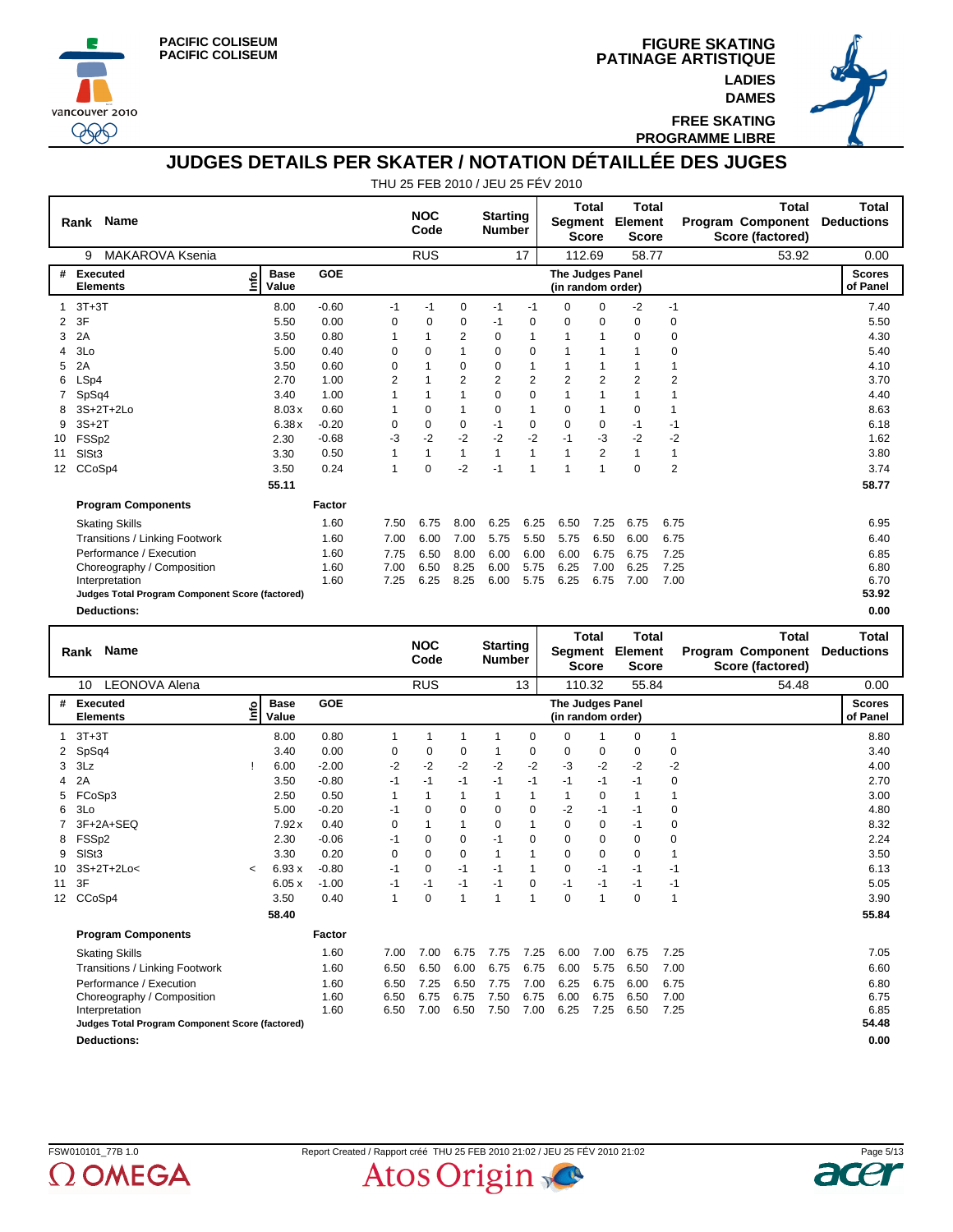





**FREE SKATING PROGRAMME LIBRE**

## **JUDGES DETAILS PER SKATER / NOTATION DÉTAILLÉE DES JUGES**

|                 | <b>Name</b><br>Rank                             |                            |            |          | <b>NOC</b><br>Code |                | <b>Starting</b><br><b>Number</b> |                | Segment                               | <b>Total</b><br><b>Score</b> | <b>Total</b><br>Element<br><b>Score</b> |      | <b>Total</b><br><b>Program Component</b><br>Score (factored) | <b>Total</b><br><b>Deductions</b> |
|-----------------|-------------------------------------------------|----------------------------|------------|----------|--------------------|----------------|----------------------------------|----------------|---------------------------------------|------------------------------|-----------------------------------------|------|--------------------------------------------------------------|-----------------------------------|
|                 | <b>MAKAROVA Ksenia</b><br>9                     |                            |            |          | <b>RUS</b>         |                |                                  | 17             | 112.69                                |                              | 58.77                                   |      | 53.92                                                        | 0.00                              |
| #               | <b>Executed</b><br><b>Elements</b>              | <b>Base</b><br>۴ò<br>Value | <b>GOE</b> |          |                    |                |                                  |                | The Judges Panel<br>(in random order) |                              |                                         |      |                                                              | <b>Scores</b><br>of Panel         |
|                 | $3T+3T$                                         | 8.00                       | $-0.60$    | -1       | $-1$               | 0              | -1                               | $-1$           | 0                                     | 0                            | $-2$                                    | -1   |                                                              | 7.40                              |
| 2               | 3F                                              | 5.50                       | 0.00       | 0        | 0                  | 0              | -1                               | 0              | 0                                     | $\mathbf 0$                  | 0                                       | 0    |                                                              | 5.50                              |
| 3               | 2A                                              | 3.50                       | 0.80       |          |                    | 2              | $\Omega$                         | 1              | 1                                     | 1                            | $\Omega$                                | 0    |                                                              | 4.30                              |
| 4               | 3Lo                                             | 5.00                       | 0.40       | 0        | $\Omega$           |                | 0                                | 0              |                                       |                              |                                         | 0    |                                                              | 5.40                              |
| 5               | 2A                                              | 3.50                       | 0.60       | 0        |                    | 0              | 0                                | 1              |                                       |                              |                                         |      |                                                              | 4.10                              |
| 6               | LSp4                                            | 2.70                       | 1.00       | 2        |                    | $\overline{2}$ | 2                                | $\overline{2}$ | $\overline{2}$                        | $\overline{2}$               | $\overline{2}$                          | 2    |                                                              | 3.70                              |
|                 | SpSq4                                           | 3.40                       | 1.00       |          |                    |                | $\Omega$                         | 0              |                                       | 1                            |                                         |      |                                                              | 4.40                              |
| 8               | 3S+2T+2Lo                                       | 8.03x                      | 0.60       |          | 0                  |                | 0                                | 1              | 0                                     | 1                            | 0                                       | 1    |                                                              | 8.63                              |
| 9               | $3S+2T$                                         | 6.38x                      | $-0.20$    | $\Omega$ | $\Omega$           | $\mathbf 0$    | $-1$                             | 0              | 0                                     | $\mathbf 0$                  | $-1$                                    | $-1$ |                                                              | 6.18                              |
| 10              | FSSp2                                           | 2.30                       | $-0.68$    | -3       | $-2$               | $-2$           | $-2$                             | $-2$           | $-1$                                  | -3                           | $-2$                                    | $-2$ |                                                              | 1.62                              |
| 11              | SISt <sub>3</sub>                               | 3.30                       | 0.50       |          |                    |                | 1                                | 1              | 1                                     | $\overline{2}$               | 1                                       | 1    |                                                              | 3.80                              |
| 12 <sup>2</sup> | CCoSp4                                          | 3.50                       | 0.24       | 1        | $\Omega$           | $-2$           | $-1$                             | 1              | 1                                     | 1                            | $\Omega$                                | 2    |                                                              | 3.74                              |
|                 |                                                 | 55.11                      |            |          |                    |                |                                  |                |                                       |                              |                                         |      |                                                              | 58.77                             |
|                 | <b>Program Components</b>                       |                            | Factor     |          |                    |                |                                  |                |                                       |                              |                                         |      |                                                              |                                   |
|                 | <b>Skating Skills</b>                           |                            | 1.60       | 7.50     | 6.75               | 8.00           | 6.25                             | 6.25           | 6.50                                  | 7.25                         | 6.75                                    | 6.75 |                                                              | 6.95                              |
|                 | Transitions / Linking Footwork                  |                            | 1.60       | 7.00     | 6.00               | 7.00           | 5.75                             | 5.50           | 5.75                                  | 6.50                         | 6.00                                    | 6.75 |                                                              | 6.40                              |
|                 | Performance / Execution                         |                            | 1.60       | 7.75     | 6.50               | 8.00           | 6.00                             | 6.00           | 6.00                                  | 6.75                         | 6.75                                    | 7.25 |                                                              | 6.85                              |
|                 | Choreography / Composition                      |                            | 1.60       | 7.00     | 6.50               | 8.25           | 6.00                             | 5.75           | 6.25                                  | 7.00                         | 6.25                                    | 7.25 |                                                              | 6.80                              |
|                 | Interpretation                                  |                            | 1.60       | 7.25     | 6.25               | 8.25           | 6.00                             | 5.75           | 6.25                                  | 6.75                         | 7.00                                    | 7.00 |                                                              | 6.70                              |
|                 | Judges Total Program Component Score (factored) |                            |            |          |                    |                |                                  |                |                                       |                              |                                         |      |                                                              | 53.92                             |
|                 | <b>Deductions:</b>                              |                            |            |          |                    |                |                                  |                |                                       |                              |                                         |      |                                                              | 0.00                              |

|                 | <b>Name</b><br>Rank                             |                |                      |         |              | <b>NOC</b><br>Code |          | <b>Starting</b><br><b>Number</b> |              | Segment                                      | <b>Total</b><br><b>Score</b> | <b>Total</b><br>Element<br><b>Score</b> |                | <b>Total</b><br><b>Program Component</b><br>Score (factored) | <b>Total</b><br><b>Deductions</b> |
|-----------------|-------------------------------------------------|----------------|----------------------|---------|--------------|--------------------|----------|----------------------------------|--------------|----------------------------------------------|------------------------------|-----------------------------------------|----------------|--------------------------------------------------------------|-----------------------------------|
|                 | <b>LEONOVA Alena</b><br>10                      |                |                      |         |              | <b>RUS</b>         |          |                                  | 13           |                                              | 110.32                       | 55.84                                   |                | 54.48                                                        | 0.00                              |
| #               | Executed<br><b>Elements</b>                     | ۴۵             | <b>Base</b><br>Value | GOE     |              |                    |          |                                  |              | <b>The Judges Panel</b><br>(in random order) |                              |                                         |                |                                                              | <b>Scores</b><br>of Panel         |
|                 | $3T+3T$                                         |                | 8.00                 | 0.80    | 1            | 1                  |          |                                  | 0            | $\Omega$                                     |                              | $\Omega$                                | $\mathbf{1}$   |                                                              | 8.80                              |
|                 | SpSq4                                           |                | 3.40                 | 0.00    | 0            | $\mathbf 0$        | 0        |                                  | 0            | $\mathbf 0$                                  | 0                            | 0                                       | $\pmb{0}$      |                                                              | 3.40                              |
| 3               | 3Lz                                             |                | 6.00                 | $-2.00$ | $-2$         | $-2$               | $-2$     | $-2$                             | $-2$         | -3                                           | $-2$                         | $-2$                                    | $-2$           |                                                              | 4.00                              |
| 4               | 2A                                              |                | 3.50                 | $-0.80$ | $-1$         | $-1$               | $-1$     | $-1$                             | $-1$         | -1                                           | $-1$                         | -1                                      | 0              |                                                              | 2.70                              |
| 5               | FCoSp3                                          |                | 2.50                 | 0.50    | 1            | 1                  |          |                                  | $\mathbf{1}$ |                                              | 0                            |                                         | 1              |                                                              | 3.00                              |
| 6               | 3Lo                                             |                | 5.00                 | $-0.20$ | $-1$         | $\Omega$           | $\Omega$ | 0                                | 0            | $-2$                                         | $-1$                         | -1                                      | 0              |                                                              | 4.80                              |
|                 | 3F+2A+SEQ                                       |                | 7.92x                | 0.40    | $\Omega$     | 1                  |          | $\Omega$                         | 1            | $\Omega$                                     | 0                            | -1                                      | 0              |                                                              | 8.32                              |
| 8               | FSSp2                                           |                | 2.30                 | $-0.06$ | $-1$         | $\Omega$           | 0        | $-1$                             | $\Omega$     | 0                                            | 0                            | $\Omega$                                | 0              |                                                              | 2.24                              |
| 9               | SISt <sub>3</sub>                               |                | 3.30                 | 0.20    | 0            | 0                  | 0        | 1                                | $\mathbf{1}$ | 0                                            | 0                            | 0                                       | 1              |                                                              | 3.50                              |
| 10              | 3S+2T+2Lo<                                      | $\overline{a}$ | 6.93x                | $-0.80$ | $-1$         | 0                  | $-1$     | $-1$                             | $\mathbf{1}$ | $\mathbf 0$                                  | $-1$                         | $-1$                                    | $-1$           |                                                              | 6.13                              |
| 11              | 3F                                              |                | 6.05x                | $-1.00$ | -1           | $-1$               | $-1$     | $-1$                             | 0            | $-1$                                         | $-1$                         | -1                                      | -1             |                                                              | 5.05                              |
| 12 <sup>2</sup> | CCoSp4                                          |                | 3.50                 | 0.40    | $\mathbf{1}$ | $\Omega$           | 1        | 1                                | $\mathbf{1}$ | 0                                            | 1                            | 0                                       | $\overline{1}$ |                                                              | 3.90                              |
|                 |                                                 |                | 58.40                |         |              |                    |          |                                  |              |                                              |                              |                                         |                |                                                              | 55.84                             |
|                 | <b>Program Components</b>                       |                |                      | Factor  |              |                    |          |                                  |              |                                              |                              |                                         |                |                                                              |                                   |
|                 | <b>Skating Skills</b>                           |                |                      | 1.60    | 7.00         | 7.00               | 6.75     | 7.75                             | 7.25         | 6.00                                         | 7.00                         | 6.75                                    | 7.25           |                                                              | 7.05                              |
|                 | <b>Transitions / Linking Footwork</b>           |                |                      | 1.60    | 6.50         | 6.50               | 6.00     | 6.75                             | 6.75         | 6.00                                         | 5.75                         | 6.50                                    | 7.00           |                                                              | 6.60                              |
|                 | Performance / Execution                         |                |                      | 1.60    | 6.50         | 7.25               | 6.50     | 7.75                             | 7.00         | 6.25                                         | 6.75                         | 6.00                                    | 6.75           |                                                              | 6.80                              |
|                 | Choreography / Composition                      |                |                      | 1.60    | 6.50         | 6.75               | 6.75     | 7.50                             | 6.75         | 6.00                                         | 6.75                         | 6.50                                    | 7.00           |                                                              | 6.75                              |
|                 | Interpretation                                  |                |                      | 1.60    | 6.50         | 7.00               | 6.50     | 7.50                             | 7.00         | 6.25                                         | 7.25                         | 6.50                                    | 7.25           |                                                              | 6.85                              |
|                 | Judges Total Program Component Score (factored) |                |                      |         |              |                    |          |                                  |              |                                              |                              |                                         |                |                                                              | 54.48                             |
|                 | <b>Deductions:</b>                              |                |                      |         |              |                    |          |                                  |              |                                              |                              |                                         |                |                                                              | 0.00                              |

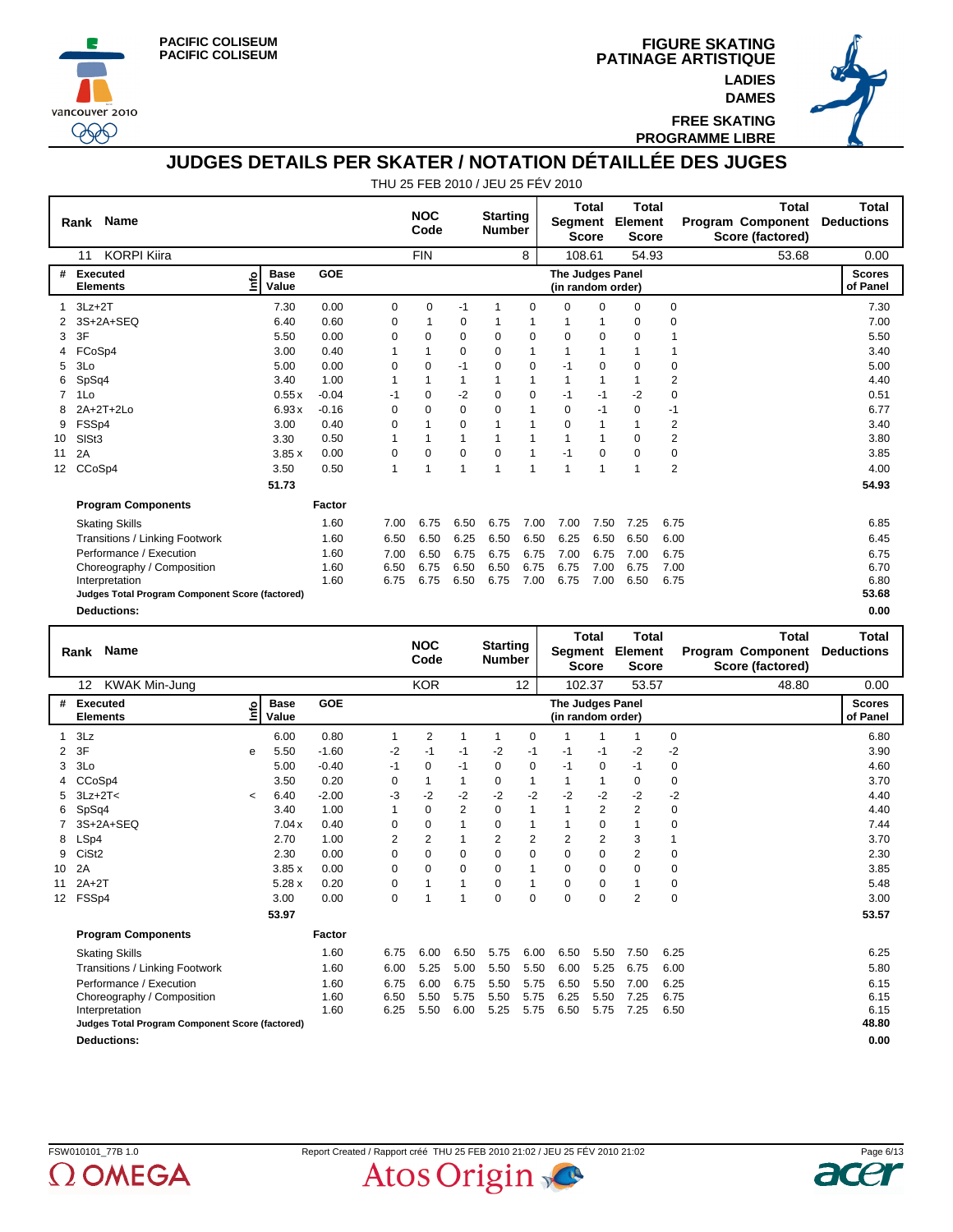





**FREE SKATING PROGRAMME LIBRE**

#### **JUDGES DETAILS PER SKATER / NOTATION DÉTAILLÉE DES JUGES**

|                 | <b>Name</b><br>Rank                             |                            |            |      | <b>NOC</b><br>Code |          | <b>Starting</b><br><b>Number</b> |          | Segment                               | <b>Total</b><br><b>Score</b> | Total<br>Element<br><b>Score</b> |             | <b>Total</b><br><b>Program Component</b><br>Score (factored) | <b>Total</b><br><b>Deductions</b> |
|-----------------|-------------------------------------------------|----------------------------|------------|------|--------------------|----------|----------------------------------|----------|---------------------------------------|------------------------------|----------------------------------|-------------|--------------------------------------------------------------|-----------------------------------|
|                 | <b>KORPI Kiira</b><br>11                        |                            |            |      | <b>FIN</b>         |          |                                  | 8        | 108.61                                |                              | 54.93                            |             | 53.68                                                        | 0.00                              |
| #               | <b>Executed</b><br><b>Elements</b>              | <b>Base</b><br>۴ů<br>Value | <b>GOE</b> |      |                    |          |                                  |          | The Judges Panel<br>(in random order) |                              |                                  |             |                                                              | <b>Scores</b><br>of Panel         |
|                 | $3Lz + 2T$                                      | 7.30                       | 0.00       | 0    | 0                  | $-1$     |                                  | 0        | $\Omega$                              | $\Omega$                     | $\Omega$                         | 0           |                                                              | 7.30                              |
|                 | 3S+2A+SEQ                                       | 6.40                       | 0.60       | 0    |                    | 0        |                                  |          |                                       |                              | 0                                | 0           |                                                              | 7.00                              |
| 3               | 3F                                              | 5.50                       | 0.00       | 0    | $\Omega$           | $\Omega$ | $\Omega$                         | $\Omega$ | $\Omega$                              | $\Omega$                     | $\Omega$                         |             |                                                              | 5.50                              |
|                 | FCoSp4                                          | 3.00                       | 0.40       |      |                    | $\Omega$ | 0                                | 1        |                                       | 1                            |                                  | 1           |                                                              | 3.40                              |
| 5               | 3Lo                                             | 5.00                       | 0.00       | 0    | $\Omega$           | $-1$     | 0                                | 0        | $-1$                                  | $\mathbf 0$                  | $\Omega$                         | 0           |                                                              | 5.00                              |
| 6               | SpSq4                                           | 3.40                       | 1.00       |      |                    |          |                                  | 1        | 1                                     | 1                            |                                  | 2           |                                                              | 4.40                              |
| $\overline{7}$  | 1Lo                                             | 0.55x                      | $-0.04$    | -1   | $\Omega$           | $-2$     | $\Omega$                         | 0        | $-1$                                  | $-1$                         | $-2$                             | $\mathbf 0$ |                                                              | 0.51                              |
| 8               | 2A+2T+2Lo                                       | 6.93x                      | $-0.16$    | 0    | $\Omega$           | 0        | $\Omega$                         | 1        | 0                                     | $-1$                         | 0                                | $-1$        |                                                              | 6.77                              |
| 9               | FSSp4                                           | 3.00                       | 0.40       | 0    |                    | 0        |                                  |          | $\Omega$                              | 1                            |                                  | 2           |                                                              | 3.40                              |
| 10              | SISt <sub>3</sub>                               | 3.30                       | 0.50       |      |                    |          |                                  |          |                                       |                              | $\Omega$                         | 2           |                                                              | 3.80                              |
| 11              | 2A                                              | 3.85x                      | 0.00       | 0    | $\Omega$           | 0        | $\Omega$                         | 1        | $-1$                                  | $\Omega$                     | $\Omega$                         | 0           |                                                              | 3.85                              |
| 12 <sup>2</sup> | CCoSp4                                          | 3.50                       | 0.50       | 1    |                    |          | 4                                | 1        | 1                                     | 1                            |                                  | 2           |                                                              | 4.00                              |
|                 |                                                 | 51.73                      |            |      |                    |          |                                  |          |                                       |                              |                                  |             |                                                              | 54.93                             |
|                 | <b>Program Components</b>                       |                            | Factor     |      |                    |          |                                  |          |                                       |                              |                                  |             |                                                              |                                   |
|                 | <b>Skating Skills</b>                           |                            | 1.60       | 7.00 | 6.75               | 6.50     | 6.75                             | 7.00     | 7.00                                  | 7.50                         | 7.25                             | 6.75        |                                                              | 6.85                              |
|                 | Transitions / Linking Footwork                  |                            | 1.60       | 6.50 | 6.50               | 6.25     | 6.50                             | 6.50     | 6.25                                  | 6.50                         | 6.50                             | 6.00        |                                                              | 6.45                              |
|                 | Performance / Execution                         |                            | 1.60       | 7.00 | 6.50               | 6.75     | 6.75                             | 6.75     | 7.00                                  | 6.75                         | 7.00                             | 6.75        |                                                              | 6.75                              |
|                 | Choreography / Composition                      |                            | 1.60       | 6.50 | 6.75               | 6.50     | 6.50                             | 6.75     | 6.75                                  | 7.00                         | 6.75                             | 7.00        |                                                              | 6.70                              |
|                 | Interpretation                                  |                            | 1.60       | 6.75 | 6.75               | 6.50     | 6.75                             | 7.00     | 6.75                                  | 7.00                         | 6.50                             | 6.75        |                                                              | 6.80                              |
|                 | Judges Total Program Component Score (factored) |                            |            |      |                    |          |                                  |          |                                       |                              |                                  |             |                                                              | 53.68                             |
|                 | <b>Deductions:</b>                              |                            |            |      |                    |          |                                  |          |                                       |                              |                                  |             |                                                              | 0.00                              |

|                 | <b>Name</b><br>Rank                             |         |                      |         |                | <b>NOC</b><br>Code |                | <b>Starting</b><br><b>Number</b> |              | Segment                               | <b>Total</b><br><b>Score</b> | <b>Total</b><br>Element<br><b>Score</b> |             | <b>Total</b><br><b>Program Component</b><br>Score (factored) | <b>Total</b><br><b>Deductions</b> |
|-----------------|-------------------------------------------------|---------|----------------------|---------|----------------|--------------------|----------------|----------------------------------|--------------|---------------------------------------|------------------------------|-----------------------------------------|-------------|--------------------------------------------------------------|-----------------------------------|
|                 | <b>KWAK Min-Jung</b><br>12                      |         |                      |         |                | <b>KOR</b>         |                |                                  | 12           |                                       | 102.37                       | 53.57                                   |             | 48.80                                                        | 0.00                              |
| #               | Executed<br><b>Elements</b>                     | ۴۵      | <b>Base</b><br>Value | GOE     |                |                    |                |                                  |              | The Judges Panel<br>(in random order) |                              |                                         |             |                                                              | <b>Scores</b><br>of Panel         |
|                 | 3Lz                                             |         | 6.00                 | 0.80    | 1              | $\overline{2}$     |                | 1                                | 0            |                                       |                              | 1                                       | 0           |                                                              | 6.80                              |
| 2               | 3F                                              | e       | 5.50                 | $-1.60$ | $-2$           | $-1$               | $-1$           | $-2$                             | -1           | -1                                    | -1                           | $-2$                                    | $-2$        |                                                              | 3.90                              |
| 3               | 3Lo                                             |         | 5.00                 | $-0.40$ | $-1$           | 0                  | $-1$           | 0                                | 0            | -1                                    | 0                            | -1                                      | 0           |                                                              | 4.60                              |
|                 | CCoSp4                                          |         | 3.50                 | 0.20    | 0              | 1                  | 1              | 0                                | $\mathbf{1}$ |                                       | $\mathbf 1$                  | $\Omega$                                | $\mathbf 0$ |                                                              | 3.70                              |
| 5               | $3Lz + 2T <$                                    | $\prec$ | 6.40                 | $-2.00$ | -3             | $-2$               | $-2$           | $-2$                             | $-2$         | $-2$                                  | $-2$                         | $-2$                                    | -2          |                                                              | 4.40                              |
| 6               | SpSq4                                           |         | 3.40                 | 1.00    |                | $\Omega$           | $\overline{2}$ | $\Omega$                         | $\mathbf{1}$ |                                       | $\overline{2}$               | $\overline{2}$                          | 0           |                                                              | 4.40                              |
|                 | 3S+2A+SEQ                                       |         | 7.04x                | 0.40    | $\Omega$       | $\Omega$           |                | $\Omega$                         | 1            |                                       | $\mathbf 0$                  |                                         | 0           |                                                              | 7.44                              |
| 8               | LSp4                                            |         | 2.70                 | 1.00    | $\overline{2}$ | $\overline{2}$     | 1              | $\overline{2}$                   | 2            | $\overline{2}$                        | $\overline{2}$               | 3                                       | 1           |                                                              | 3.70                              |
| 9               | CiSt <sub>2</sub>                               |         | 2.30                 | 0.00    | 0              | 0                  | 0              | $\Omega$                         | $\mathbf 0$  | 0                                     | $\mathbf 0$                  | $\overline{2}$                          | 0           |                                                              | 2.30                              |
| 10              | 2A                                              |         | 3.85x                | 0.00    | 0              | 0                  | 0              | $\Omega$                         | $\mathbf{1}$ | $\mathbf 0$                           | $\mathbf 0$                  | $\mathbf 0$                             | $\mathbf 0$ |                                                              | 3.85                              |
| 11              | $2A+2T$                                         |         | 5.28x                | 0.20    | 0              | 1                  | 1              | $\Omega$                         | $\mathbf{1}$ | $\Omega$                              | 0                            |                                         | 0           |                                                              | 5.48                              |
| 12 <sup>°</sup> | FSSp4                                           |         | 3.00                 | 0.00    | 0              | 1                  | 1              | $\Omega$                         | 0            | 0                                     | 0                            | 2                                       | 0           |                                                              | 3.00                              |
|                 |                                                 |         | 53.97                |         |                |                    |                |                                  |              |                                       |                              |                                         |             |                                                              | 53.57                             |
|                 | <b>Program Components</b>                       |         |                      | Factor  |                |                    |                |                                  |              |                                       |                              |                                         |             |                                                              |                                   |
|                 | <b>Skating Skills</b>                           |         |                      | 1.60    | 6.75           | 6.00               | 6.50           | 5.75                             | 6.00         | 6.50                                  | 5.50                         | 7.50                                    | 6.25        |                                                              | 6.25                              |
|                 | <b>Transitions / Linking Footwork</b>           |         |                      | 1.60    | 6.00           | 5.25               | 5.00           | 5.50                             | 5.50         | 6.00                                  | 5.25                         | 6.75                                    | 6.00        |                                                              | 5.80                              |
|                 | Performance / Execution                         |         |                      | 1.60    | 6.75           | 6.00               | 6.75           | 5.50                             | 5.75         | 6.50                                  | 5.50                         | 7.00                                    | 6.25        |                                                              | 6.15                              |
|                 | Choreography / Composition                      |         |                      | 1.60    | 6.50           | 5.50               | 5.75           | 5.50                             | 5.75         | 6.25                                  | 5.50                         | 7.25                                    | 6.75        |                                                              | 6.15                              |
|                 | Interpretation                                  |         |                      | 1.60    | 6.25           | 5.50               | 6.00           | 5.25                             | 5.75         | 6.50                                  | 5.75                         | 7.25                                    | 6.50        |                                                              | 6.15                              |
|                 | Judges Total Program Component Score (factored) |         |                      |         |                |                    |                |                                  |              |                                       |                              |                                         |             |                                                              | 48.80                             |
|                 | <b>Deductions:</b>                              |         |                      |         |                |                    |                |                                  |              |                                       |                              |                                         |             |                                                              | 0.00                              |



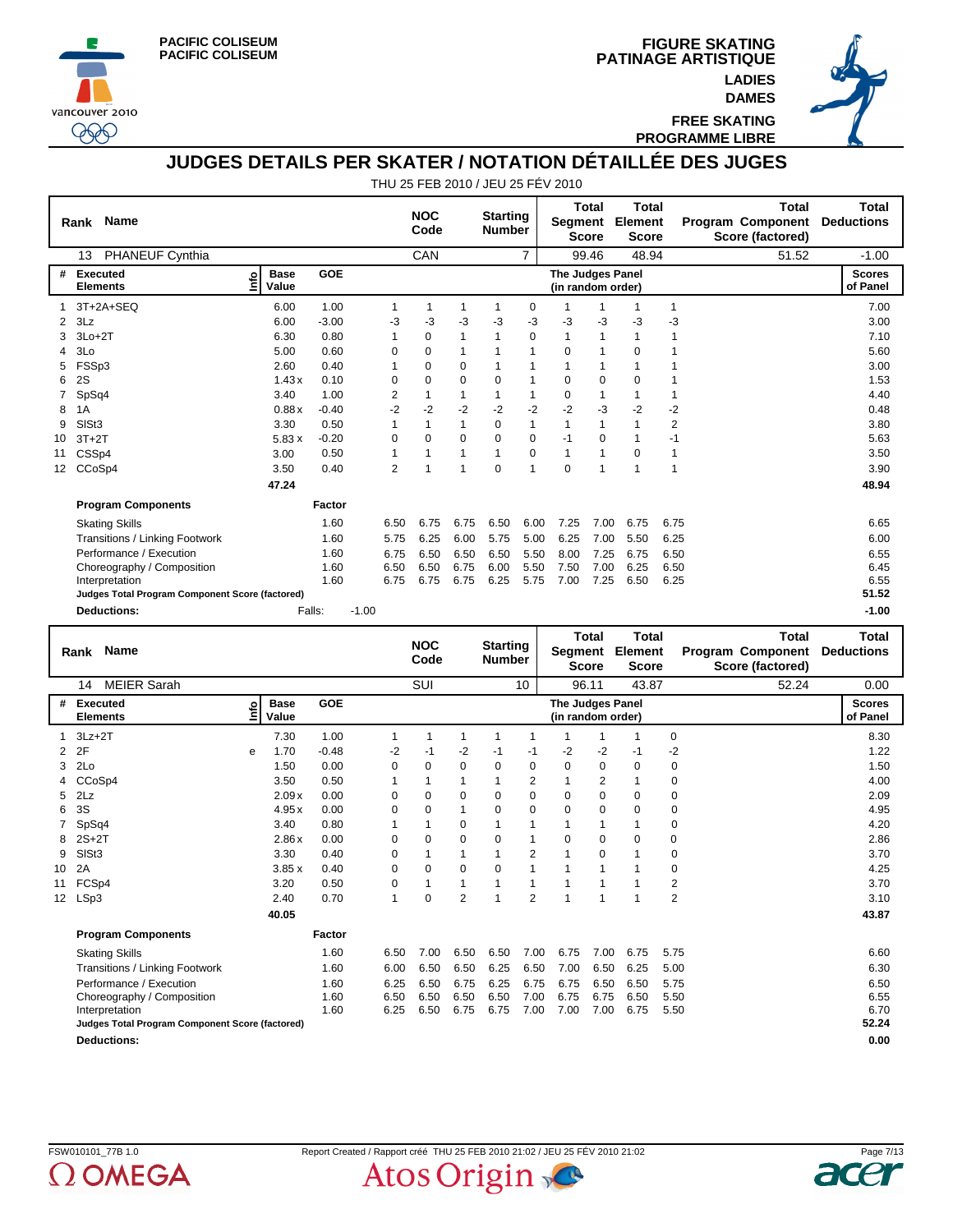





**FREE SKATING PROGRAMME LIBRE**

## **JUDGES DETAILS PER SKATER / NOTATION DÉTAILLÉE DES JUGES**

|                 | Rank Name                                       |                            |         |          | <b>NOC</b><br>Code |      | <b>Starting</b><br><b>Number</b> |                | Segment                               | <b>Total</b><br><b>Score</b> | <b>Total</b><br>Element<br><b>Score</b> |      | <b>Total</b><br>Program Component<br>Score (factored) | Total<br><b>Deductions</b> |
|-----------------|-------------------------------------------------|----------------------------|---------|----------|--------------------|------|----------------------------------|----------------|---------------------------------------|------------------------------|-----------------------------------------|------|-------------------------------------------------------|----------------------------|
|                 | <b>PHANEUF Cynthia</b><br>13                    |                            |         |          | CAN                |      |                                  | $\overline{7}$ |                                       | 99.46                        | 48.94                                   |      | 51.52                                                 | $-1.00$                    |
| #               | <b>Executed</b><br><b>Elements</b>              | <b>Base</b><br>۴ů<br>Value | GOE     |          |                    |      |                                  |                | The Judges Panel<br>(in random order) |                              |                                         |      |                                                       | <b>Scores</b><br>of Panel  |
|                 | 3T+2A+SEQ                                       | 6.00                       | 1.00    | 1        |                    | 1    | 1                                | 0              |                                       | 1                            | 1                                       | 1    |                                                       | 7.00                       |
| 2               | 3Lz                                             | 6.00                       | $-3.00$ | -3       | -3                 | $-3$ | $-3$                             | -3             | -3                                    | -3                           | -3                                      | -3   |                                                       | 3.00                       |
| 3               | $3Lo+2T$                                        | 6.30                       | 0.80    | 1        | 0                  | 1    | 1                                | $\Omega$       | 1                                     | 1                            |                                         |      |                                                       | 7.10                       |
| 4               | 3Lo                                             | 5.00                       | 0.60    | $\Omega$ | 0                  | 1    |                                  | 1              | 0                                     | 1                            | $\Omega$                                |      |                                                       | 5.60                       |
| 5               | FSSp3                                           | 2.60                       | 0.40    |          | 0                  | 0    |                                  |                |                                       |                              |                                         |      |                                                       | 3.00                       |
| 6               | 2S                                              | 1.43x                      | 0.10    | $\Omega$ | $\Omega$           | 0    | $\Omega$                         |                | 0                                     | 0                            | $\Omega$                                |      |                                                       | 1.53                       |
|                 | SpSq4                                           | 3.40                       | 1.00    | 2        |                    | 1    |                                  | 1              | 0                                     | 1                            |                                         |      |                                                       | 4.40                       |
| 8               | 1A                                              | 0.88x                      | $-0.40$ | $-2$     | $-2$               | $-2$ | $-2$                             | $-2$           | $-2$                                  | -3                           | $-2$                                    | $-2$ |                                                       | 0.48                       |
| 9               | SISt <sub>3</sub>                               | 3.30                       | 0.50    |          |                    | 1    | 0                                | 1              | 1                                     | $\mathbf{1}$                 |                                         | 2    |                                                       | 3.80                       |
| 10              | $3T+2T$                                         | 5.83x                      | $-0.20$ | 0        | 0                  | 0    | 0                                | 0              | -1                                    | 0                            |                                         | -1   |                                                       | 5.63                       |
| 11              | CSSp4                                           | 3.00                       | 0.50    |          |                    | 1    | 1                                | $\Omega$       | $\mathbf{1}$                          | 1                            | $\Omega$                                | 1    |                                                       | 3.50                       |
| 12 <sup>2</sup> | CCoSp4                                          | 3.50                       | 0.40    | 2        |                    | 1    | $\Omega$                         | 1              | $\Omega$                              | $\overline{ }$               |                                         |      |                                                       | 3.90                       |
|                 |                                                 | 47.24                      |         |          |                    |      |                                  |                |                                       |                              |                                         |      |                                                       | 48.94                      |
|                 | <b>Program Components</b>                       |                            | Factor  |          |                    |      |                                  |                |                                       |                              |                                         |      |                                                       |                            |
|                 | <b>Skating Skills</b>                           |                            | 1.60    | 6.50     | 6.75               | 6.75 | 6.50                             | 6.00           | 7.25                                  | 7.00                         | 6.75                                    | 6.75 |                                                       | 6.65                       |
|                 | Transitions / Linking Footwork                  |                            | 1.60    | 5.75     | 6.25               | 6.00 | 5.75                             | 5.00           | 6.25                                  | 7.00                         | 5.50                                    | 6.25 |                                                       | 6.00                       |
|                 | Performance / Execution                         |                            | 1.60    | 6.75     | 6.50               | 6.50 | 6.50                             | 5.50           | 8.00                                  | 7.25                         | 6.75                                    | 6.50 |                                                       | 6.55                       |
|                 | Choreography / Composition                      |                            | 1.60    | 6.50     | 6.50               | 6.75 | 6.00                             | 5.50           | 7.50                                  | 7.00                         | 6.25                                    | 6.50 |                                                       | 6.45                       |
|                 | Interpretation                                  |                            | 1.60    | 6.75     | 6.75               | 6.75 | 6.25                             | 5.75           | 7.00                                  | 7.25                         | 6.50                                    | 6.25 |                                                       | 6.55                       |
|                 | Judges Total Program Component Score (factored) |                            |         |          |                    |      |                                  |                |                                       |                              |                                         |      |                                                       | 51.52                      |
|                 | <b>Deductions:</b>                              | Falls:                     |         | $-1.00$  |                    |      |                                  |                |                                       |                              |                                         |      |                                                       | $-1.00$                    |

|                 | <b>Name</b><br>Rank                             |    |                      |         |              | <b>NOC</b><br>Code |                | <b>Starting</b><br><b>Number</b> |                      | Segment                               | Total<br><b>Score</b> | Total<br>Element<br><b>Score</b> |             | Total<br>Program Component<br>Score (factored) | Total<br><b>Deductions</b> |
|-----------------|-------------------------------------------------|----|----------------------|---------|--------------|--------------------|----------------|----------------------------------|----------------------|---------------------------------------|-----------------------|----------------------------------|-------------|------------------------------------------------|----------------------------|
|                 | <b>MEIER Sarah</b><br>14                        |    |                      |         |              | <b>SUI</b>         |                |                                  | 10                   |                                       | 96.11                 | 43.87                            |             | 52.24                                          | 0.00                       |
| #               | <b>Executed</b><br><b>Elements</b>              | ۴ů | <b>Base</b><br>Value | GOE     |              |                    |                |                                  |                      | The Judges Panel<br>(in random order) |                       |                                  |             |                                                | <b>Scores</b><br>of Panel  |
|                 | $3Lz + 2T$                                      |    | 7.30                 | 1.00    | 1            | 1                  | 1              | 1                                | 1                    | 1                                     | 1                     |                                  | 0           |                                                | 8.30                       |
| 2               | 2F                                              | e  | 1.70                 | $-0.48$ | -2           | $-1$               | -2             | $-1$                             | $-1$                 | -2                                    | $-2$                  | $-1$                             | -2          |                                                | 1.22                       |
| 3               | 2Lo                                             |    | 1.50                 | 0.00    | $\Omega$     | 0                  | 0              | $\Omega$                         | 0                    | 0                                     | $\mathbf 0$           | $\Omega$                         | $\mathbf 0$ |                                                | 1.50                       |
|                 | CCoSp4                                          |    | 3.50                 | 0.50    | 1            |                    | 1              |                                  | 2                    |                                       | 2                     |                                  | 0           |                                                | 4.00                       |
| 5               | 2Lz                                             |    | 2.09x                | 0.00    | $\Omega$     | 0                  | 0              | $\Omega$                         | $\mathbf 0$          | $\Omega$                              | $\mathbf 0$           | $\Omega$                         | $\mathbf 0$ |                                                | 2.09                       |
| 6               | 3S                                              |    | 4.95x                | 0.00    | $\Omega$     | 0                  | 1              | $\Omega$                         | 0                    | $\Omega$                              | 0                     | $\Omega$                         | $\mathbf 0$ |                                                | 4.95                       |
|                 | SpSq4                                           |    | 3.40                 | 0.80    |              |                    | 0              |                                  |                      |                                       |                       |                                  | 0           |                                                | 4.20                       |
| 8               | $2S+2T$                                         |    | 2.86x                | 0.00    | $\Omega$     | 0                  | 0              | $\Omega$                         | $\blacktriangleleft$ | $\Omega$                              | 0                     | $\Omega$                         | 0           |                                                | 2.86                       |
| 9               | SIS <sub>t3</sub>                               |    | 3.30                 | 0.40    | 0            | $\mathbf{1}$       | 1              | 1                                | $\overline{2}$       | 1                                     | $\mathbf 0$           |                                  | 0           |                                                | 3.70                       |
| 10              | 2A                                              |    | 3.85x                | 0.40    | 0            | 0                  | 0              | $\Omega$                         | 1                    |                                       |                       |                                  | 0           |                                                | 4.25                       |
| 11              | FCSp4                                           |    | 3.20                 | 0.50    | $\Omega$     | 1                  | 1              |                                  | $\overline{1}$       |                                       |                       |                                  | 2           |                                                | 3.70                       |
| 12 <sup>2</sup> | LSp3                                            |    | 2.40                 | 0.70    | $\mathbf{1}$ | 0                  | $\overline{2}$ | 1                                | $\overline{2}$       | 1                                     |                       |                                  | 2           |                                                | 3.10                       |
|                 |                                                 |    | 40.05                |         |              |                    |                |                                  |                      |                                       |                       |                                  |             |                                                | 43.87                      |
|                 | <b>Program Components</b>                       |    |                      | Factor  |              |                    |                |                                  |                      |                                       |                       |                                  |             |                                                |                            |
|                 | <b>Skating Skills</b>                           |    |                      | 1.60    | 6.50         | 7.00               | 6.50           | 6.50                             | 7.00                 | 6.75                                  | 7.00                  | 6.75                             | 5.75        |                                                | 6.60                       |
|                 | Transitions / Linking Footwork                  |    |                      | 1.60    | 6.00         | 6.50               | 6.50           | 6.25                             | 6.50                 | 7.00                                  | 6.50                  | 6.25                             | 5.00        |                                                | 6.30                       |
|                 | Performance / Execution                         |    |                      | 1.60    | 6.25         | 6.50               | 6.75           | 6.25                             | 6.75                 | 6.75                                  | 6.50                  | 6.50                             | 5.75        |                                                | 6.50                       |
|                 | Choreography / Composition                      |    |                      | 1.60    | 6.50         | 6.50               | 6.50           | 6.50                             | 7.00                 | 6.75                                  | 6.75                  | 6.50                             | 5.50        |                                                | 6.55                       |
|                 | Interpretation                                  |    |                      | 1.60    | 6.25         | 6.50               | 6.75           | 6.75                             | 7.00                 | 7.00                                  | 7.00                  | 6.75                             | 5.50        |                                                | 6.70                       |
|                 | Judges Total Program Component Score (factored) |    |                      |         |              |                    |                |                                  |                      |                                       |                       |                                  |             |                                                | 52.24                      |
|                 | <b>Deductions:</b>                              |    |                      |         |              |                    |                |                                  |                      |                                       |                       |                                  |             |                                                | 0.00                       |



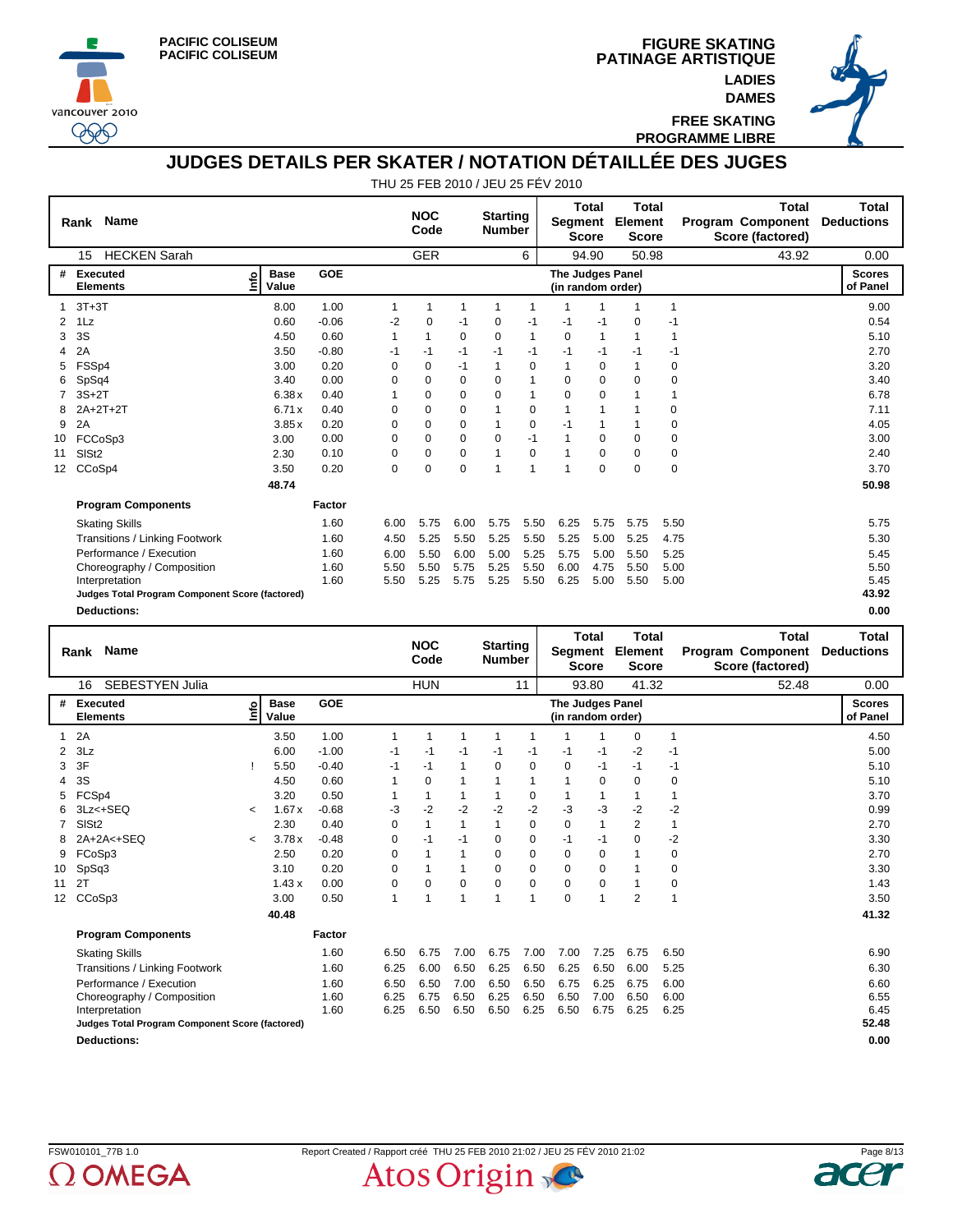





**FREE SKATING PROGRAMME LIBRE**

**DAMES**

#### **JUDGES DETAILS PER SKATER / NOTATION DÉTAILLÉE DES JUGES**

|                 | <b>Name</b><br>Rank                             |                            |            |      | <b>NOC</b><br>Code |          | <b>Starting</b><br><b>Number</b> |      | Segment                                      | <b>Total</b><br><b>Score</b> | <b>Total</b><br>Element<br><b>Score</b> |             | <b>Total</b><br><b>Program Component</b><br>Score (factored) | <b>Total</b><br><b>Deductions</b> |
|-----------------|-------------------------------------------------|----------------------------|------------|------|--------------------|----------|----------------------------------|------|----------------------------------------------|------------------------------|-----------------------------------------|-------------|--------------------------------------------------------------|-----------------------------------|
|                 | <b>HECKEN Sarah</b><br>15                       |                            |            |      | <b>GER</b>         |          |                                  | 6    |                                              | 94.90                        | 50.98                                   |             | 43.92                                                        | 0.00                              |
| #               | <b>Executed</b><br><b>Elements</b>              | <b>Base</b><br>۴ò<br>Value | <b>GOE</b> |      |                    |          |                                  |      | <b>The Judges Panel</b><br>(in random order) |                              |                                         |             |                                                              | <b>Scores</b><br>of Panel         |
|                 | $3T+3T$                                         | 8.00                       | 1.00       |      | 1                  |          |                                  |      |                                              |                              |                                         | 1           |                                                              | 9.00                              |
| 2               | 1Lz                                             | 0.60                       | $-0.06$    | $-2$ | 0                  | $-1$     | 0                                | $-1$ | -1                                           | $-1$                         | 0                                       | -1          |                                                              | 0.54                              |
| 3               | 3S                                              | 4.50                       | 0.60       | 1    |                    | $\Omega$ | $\Omega$                         | 1    | $\Omega$                                     | 1                            | 1                                       | 1           |                                                              | 5.10                              |
| 4               | 2A                                              | 3.50                       | $-0.80$    | -1   | $-1$               | $-1$     | -1                               | $-1$ | $-1$                                         | $-1$                         | -1                                      | -1          |                                                              | 2.70                              |
| 5               | FSSp4                                           | 3.00                       | 0.20       | 0    | 0                  | $-1$     |                                  | 0    |                                              | 0                            |                                         | $\mathbf 0$ |                                                              | 3.20                              |
| 6               | SpSq4                                           | 3.40                       | 0.00       | 0    | $\Omega$           | $\Omega$ | $\Omega$                         | 1    | $\Omega$                                     | $\Omega$                     | $\Omega$                                | $\mathbf 0$ |                                                              | 3.40                              |
|                 | $3S+2T$                                         | 6.38x                      | 0.40       |      | $\Omega$           | 0        | $\Omega$                         | 1    | $\Omega$                                     | $\mathbf 0$                  |                                         | 1           |                                                              | 6.78                              |
| 8               | $2A+2T+2T$                                      | 6.71x                      | 0.40       | 0    | 0                  | 0        |                                  | 0    |                                              | 1                            |                                         | 0           |                                                              | 7.11                              |
| 9               | 2A                                              | 3.85x                      | 0.20       | 0    | $\Omega$           | $\Omega$ |                                  | 0    | $-1$                                         | 1                            |                                         | 0           |                                                              | 4.05                              |
| 10              | FCCoSp3                                         | 3.00                       | 0.00       | 0    | 0                  | 0        | 0                                | $-1$ |                                              | $\mathbf 0$                  | $\Omega$                                | 0           |                                                              | 3.00                              |
| 11              | SIS <sub>t2</sub>                               | 2.30                       | 0.10       | 0    | $\Omega$           | 0        |                                  | 0    | 1                                            | 0                            | $\Omega$                                | 0           |                                                              | 2.40                              |
| 12 <sup>2</sup> | CCoSp4                                          | 3.50                       | 0.20       | 0    | $\Omega$           | $\Omega$ |                                  | 1    | 1                                            | $\mathbf 0$                  | 0                                       | $\mathbf 0$ |                                                              | 3.70                              |
|                 |                                                 | 48.74                      |            |      |                    |          |                                  |      |                                              |                              |                                         |             |                                                              | 50.98                             |
|                 | <b>Program Components</b>                       |                            | Factor     |      |                    |          |                                  |      |                                              |                              |                                         |             |                                                              |                                   |
|                 | <b>Skating Skills</b>                           |                            | 1.60       | 6.00 | 5.75               | 6.00     | 5.75                             | 5.50 | 6.25                                         | 5.75                         | 5.75                                    | 5.50        |                                                              | 5.75                              |
|                 | Transitions / Linking Footwork                  |                            | 1.60       | 4.50 | 5.25               | 5.50     | 5.25                             | 5.50 | 5.25                                         | 5.00                         | 5.25                                    | 4.75        |                                                              | 5.30                              |
|                 | Performance / Execution                         |                            | 1.60       | 6.00 | 5.50               | 6.00     | 5.00                             | 5.25 | 5.75                                         | 5.00                         | 5.50                                    | 5.25        |                                                              | 5.45                              |
|                 | Choreography / Composition                      |                            | 1.60       | 5.50 | 5.50               | 5.75     | 5.25                             | 5.50 | 6.00                                         | 4.75                         | 5.50                                    | 5.00        |                                                              | 5.50                              |
|                 | Interpretation                                  |                            | 1.60       | 5.50 | 5.25               | 5.75     | 5.25                             | 5.50 | 6.25                                         | 5.00                         | 5.50                                    | 5.00        |                                                              | 5.45                              |
|                 | Judges Total Program Component Score (factored) |                            |            |      |                    |          |                                  |      |                                              |                              |                                         |             |                                                              | 43.92                             |
|                 | <b>Deductions:</b>                              |                            |            |      |                    |          |                                  |      |                                              |                              |                                         |             |                                                              | 0.00                              |

|                   | <b>Name</b><br>Rank                             |                          |                      |            |          | <b>NOC</b><br>Code |          | <b>Starting</b><br><b>Number</b> |                | Segment                                      | Total<br><b>Score</b> | <b>Total</b><br>Element<br><b>Score</b> |                | <b>Total</b><br><b>Program Component</b><br>Score (factored) | Total<br><b>Deductions</b> |
|-------------------|-------------------------------------------------|--------------------------|----------------------|------------|----------|--------------------|----------|----------------------------------|----------------|----------------------------------------------|-----------------------|-----------------------------------------|----------------|--------------------------------------------------------------|----------------------------|
|                   | <b>SEBESTYEN Julia</b><br>16                    |                          |                      |            |          | <b>HUN</b>         |          |                                  | 11             |                                              | 93.80                 | 41.32                                   |                | 52.48                                                        | 0.00                       |
| #                 | Executed<br><b>Elements</b>                     | ۴ů                       | <b>Base</b><br>Value | <b>GOE</b> |          |                    |          |                                  |                | <b>The Judges Panel</b><br>(in random order) |                       |                                         |                |                                                              | <b>Scores</b><br>of Panel  |
|                   | 2A                                              |                          | 3.50                 | 1.00       |          |                    |          | 1                                |                |                                              |                       | $\Omega$                                | $\overline{1}$ |                                                              | 4.50                       |
| 2                 | 3Lz                                             |                          | 6.00                 | $-1.00$    | $-1$     | -1                 | -1       | $-1$                             | -1             | -1                                           | -1                    | $-2$                                    | $-1$           |                                                              | 5.00                       |
| 3                 | 3F                                              |                          | 5.50                 | $-0.40$    | -1       | $-1$               | 1        | $\Omega$                         | 0              | 0                                            | -1                    | -1                                      | -1             |                                                              | 5.10                       |
| 4                 | 3S                                              |                          | 4.50                 | 0.60       | 1        | $\Omega$           | 1        | 1                                | 1              |                                              | 0                     | $\Omega$                                | 0              |                                                              | 5.10                       |
| 5                 | FCSp4                                           |                          | 3.20                 | 0.50       |          | 1                  |          |                                  | 0              |                                              | $\mathbf 1$           |                                         |                |                                                              | 3.70                       |
| 6                 | 3Lz<+SEQ                                        | $\prec$                  | 1.67x                | $-0.68$    | -3       | $-2$               | $-2$     | $-2$                             | $-2$           | -3                                           | -3                    | -2                                      | $-2$           |                                                              | 0.99                       |
|                   | SIS <sub>t2</sub>                               |                          | 2.30                 | 0.40       | $\Omega$ | 1                  | 1        | 1                                | $\Omega$       | $\Omega$                                     | $\mathbf{1}$          | $\overline{2}$                          | $\mathbf{1}$   |                                                              | 2.70                       |
| 8                 | $2A+2A5 + SEQ$                                  | $\overline{\phantom{0}}$ | 3.78x                | $-0.48$    | 0        | $-1$               | $-1$     | 0                                | 0              | $-1$                                         | $-1$                  | $\Omega$                                | $-2$           |                                                              | 3.30                       |
| 9                 | FCoSp3                                          |                          | 2.50                 | 0.20       | 0        | 1                  |          | 0                                | 0              | 0                                            | 0                     |                                         | 0              |                                                              | 2.70                       |
| 10                | SpSq3                                           |                          | 3.10                 | 0.20       | 0        |                    |          | $\Omega$                         | $\mathbf 0$    | $\mathbf 0$                                  | $\mathbf 0$           |                                         | 0              |                                                              | 3.30                       |
| 11                | 2T                                              |                          | 1.43x                | 0.00       | $\Omega$ | $\Omega$           | $\Omega$ | $\Omega$                         | $\mathbf 0$    | $\Omega$                                     | $\mathbf 0$           | -1                                      | 0              |                                                              | 1.43                       |
| $12 \overline{ }$ | CCoSp3                                          |                          | 3.00                 | 0.50       | 1        | 1                  | 1        | 1                                | $\overline{1}$ | $\mathbf 0$                                  | 1                     | $\overline{2}$                          | 1              |                                                              | 3.50                       |
|                   |                                                 |                          | 40.48                |            |          |                    |          |                                  |                |                                              |                       |                                         |                |                                                              | 41.32                      |
|                   | <b>Program Components</b>                       |                          |                      | Factor     |          |                    |          |                                  |                |                                              |                       |                                         |                |                                                              |                            |
|                   | <b>Skating Skills</b>                           |                          |                      | 1.60       | 6.50     | 6.75               | 7.00     | 6.75                             | 7.00           | 7.00                                         | 7.25                  | 6.75                                    | 6.50           |                                                              | 6.90                       |
|                   | <b>Transitions / Linking Footwork</b>           |                          |                      | 1.60       | 6.25     | 6.00               | 6.50     | 6.25                             | 6.50           | 6.25                                         | 6.50                  | 6.00                                    | 5.25           |                                                              | 6.30                       |
|                   | Performance / Execution                         |                          |                      | 1.60       | 6.50     | 6.50               | 7.00     | 6.50                             | 6.50           | 6.75                                         | 6.25                  | 6.75                                    | 6.00           |                                                              | 6.60                       |
|                   | Choreography / Composition                      |                          |                      | 1.60       | 6.25     | 6.75               | 6.50     | 6.25                             | 6.50           | 6.50                                         | 7.00                  | 6.50                                    | 6.00           |                                                              | 6.55                       |
|                   | Interpretation                                  |                          |                      | 1.60       | 6.25     | 6.50               | 6.50     | 6.50                             | 6.25           | 6.50                                         | 6.75                  | 6.25                                    | 6.25           |                                                              | 6.45                       |
|                   | Judges Total Program Component Score (factored) |                          |                      |            |          |                    |          |                                  |                |                                              |                       |                                         |                |                                                              | 52.48                      |
|                   | <b>Deductions:</b>                              |                          |                      |            |          |                    |          |                                  |                |                                              |                       |                                         |                |                                                              | 0.00                       |



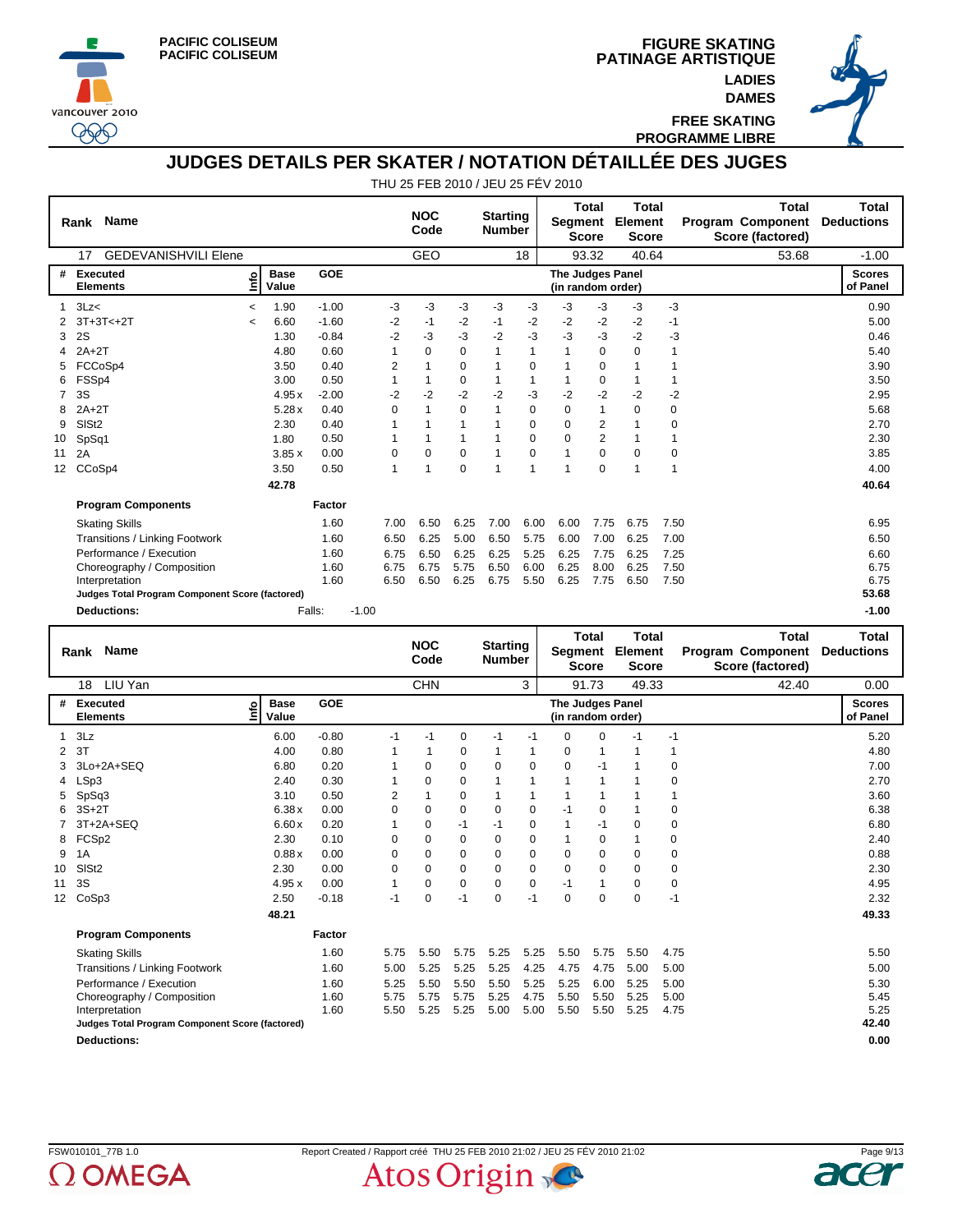





**FREE SKATING PROGRAMME LIBRE**

**DAMES**

## **JUDGES DETAILS PER SKATER / NOTATION DÉTAILLÉE DES JUGES**

|                   | <b>Name</b><br>Rank                             |         |                      |            |         |      | <b>NOC</b><br>Code |          | <b>Starting</b><br><b>Number</b> |          | Segment                               | <b>Total</b><br><b>Score</b> | <b>Total</b><br>Element<br><b>Score</b> |             | <b>Total</b><br><b>Program Component</b><br>Score (factored) | <b>Total</b><br><b>Deductions</b> |
|-------------------|-------------------------------------------------|---------|----------------------|------------|---------|------|--------------------|----------|----------------------------------|----------|---------------------------------------|------------------------------|-----------------------------------------|-------------|--------------------------------------------------------------|-----------------------------------|
|                   | <b>GEDEVANISHVILI Elene</b><br>17               |         |                      |            |         |      | <b>GEO</b>         |          |                                  | 18       |                                       | 93.32                        | 40.64                                   |             | 53.68                                                        | $-1.00$                           |
| #                 | <b>Executed</b><br><b>Elements</b>              | ۴ò      | <b>Base</b><br>Value | <b>GOE</b> |         |      |                    |          |                                  |          | The Judges Panel<br>(in random order) |                              |                                         |             |                                                              | <b>Scores</b><br>of Panel         |
|                   | 3Lz<                                            | $\,<\,$ | 1.90                 | $-1.00$    |         | $-3$ | -3                 | $-3$     | -3                               | $-3$     | $-3$                                  | $-3$                         | -3                                      | $-3$        |                                                              | 0.90                              |
|                   | $3T+3T<+2T$                                     | $\,<\,$ | 6.60                 | $-1.60$    |         | $-2$ | $-1$               | $-2$     | $-1$                             | $-2$     | $-2$                                  | $-2$                         | $-2$                                    | $-1$        |                                                              | 5.00                              |
| 3                 | 2S                                              |         | 1.30                 | $-0.84$    |         | $-2$ | -3                 | -3       | $-2$                             | -3       | -3                                    | $-3$                         | $-2$                                    | -3          |                                                              | 0.46                              |
|                   | $2A+2T$                                         |         | 4.80                 | 0.60       |         |      | $\Omega$           | 0        |                                  | 1        | 1                                     | 0                            | 0                                       |             |                                                              | 5.40                              |
|                   | FCCoSp4                                         |         | 3.50                 | 0.40       |         | 2    |                    | 0        |                                  | 0        |                                       | $\mathbf 0$                  |                                         |             |                                                              | 3.90                              |
| 6                 | FSSp4                                           |         | 3.00                 | 0.50       |         |      |                    | 0        |                                  | 1        | 1                                     | 0                            |                                         | 1           |                                                              | 3.50                              |
|                   | 3S                                              |         | 4.95x                | $-2.00$    |         | $-2$ | $-2$               | $-2$     | $-2$                             | -3       | $-2$                                  | $-2$                         | $-2$                                    | $-2$        |                                                              | 2.95                              |
| 8                 | $2A+2T$                                         |         | 5.28x                | 0.40       |         | 0    |                    | 0        |                                  | 0        | 0                                     | 1                            | 0                                       | 0           |                                                              | 5.68                              |
| 9                 | SIS <sub>t2</sub>                               |         | 2.30                 | 0.40       |         |      |                    |          |                                  | $\Omega$ | $\Omega$                              | 2                            |                                         | $\mathbf 0$ |                                                              | 2.70                              |
| 10                | SpSq1                                           |         | 1.80                 | 0.50       |         |      |                    |          |                                  | 0        | 0                                     | $\overline{2}$               |                                         | 1           |                                                              | 2.30                              |
| 11                | 2A                                              |         | 3.85x                | 0.00       |         | 0    | $\Omega$           | 0        |                                  | 0        | 1                                     | $\mathbf 0$                  | $\Omega$                                | 0           |                                                              | 3.85                              |
| $12 \overline{ }$ | CCoSp4                                          |         | 3.50                 | 0.50       |         | 1    |                    | $\Omega$ |                                  | 1        | 1                                     | $\mathbf 0$                  | 1                                       | 1           |                                                              | 4.00                              |
|                   |                                                 |         | 42.78                |            |         |      |                    |          |                                  |          |                                       |                              |                                         |             |                                                              | 40.64                             |
|                   | <b>Program Components</b>                       |         |                      | Factor     |         |      |                    |          |                                  |          |                                       |                              |                                         |             |                                                              |                                   |
|                   | <b>Skating Skills</b>                           |         |                      | 1.60       |         | 7.00 | 6.50               | 6.25     | 7.00                             | 6.00     | 6.00                                  | 7.75                         | 6.75                                    | 7.50        |                                                              | 6.95                              |
|                   | Transitions / Linking Footwork                  |         |                      | 1.60       |         | 6.50 | 6.25               | 5.00     | 6.50                             | 5.75     | 6.00                                  | 7.00                         | 6.25                                    | 7.00        |                                                              | 6.50                              |
|                   | Performance / Execution                         |         |                      | 1.60       |         | 6.75 | 6.50               | 6.25     | 6.25                             | 5.25     | 6.25                                  | 7.75                         | 6.25                                    | 7.25        |                                                              | 6.60                              |
|                   | Choreography / Composition                      |         |                      | 1.60       |         | 6.75 | 6.75               | 5.75     | 6.50                             | 6.00     | 6.25                                  | 8.00                         | 6.25                                    | 7.50        |                                                              | 6.75                              |
|                   | Interpretation                                  |         |                      | 1.60       |         | 6.50 | 6.50               | 6.25     | 6.75                             | 5.50     | 6.25                                  | 7.75                         | 6.50                                    | 7.50        |                                                              | 6.75                              |
|                   | Judges Total Program Component Score (factored) |         |                      |            |         |      |                    |          |                                  |          |                                       |                              |                                         |             |                                                              | 53.68                             |
|                   | <b>Deductions:</b>                              |         |                      | Falls:     | $-1.00$ |      |                    |          |                                  |          |                                       |                              |                                         |             |                                                              | $-1.00$                           |

|                   | <b>Name</b><br>Rank                             |                            |            |             | <b>NOC</b><br>Code |             | <b>Starting</b><br><b>Number</b> |          | Segment                               | <b>Total</b><br><b>Score</b> | <b>Total</b><br>Element<br><b>Score</b> |      | Total<br><b>Program Component</b><br>Score (factored) | Total<br><b>Deductions</b> |
|-------------------|-------------------------------------------------|----------------------------|------------|-------------|--------------------|-------------|----------------------------------|----------|---------------------------------------|------------------------------|-----------------------------------------|------|-------------------------------------------------------|----------------------------|
|                   | LIU Yan<br>18                                   |                            |            |             | <b>CHN</b>         |             |                                  | 3        |                                       | 91.73                        | 49.33                                   |      | 42.40                                                 | 0.00                       |
| #                 | <b>Executed</b><br><b>Elements</b>              | <b>Base</b><br>۴۵<br>Value | <b>GOE</b> |             |                    |             |                                  |          | The Judges Panel<br>(in random order) |                              |                                         |      |                                                       | <b>Scores</b><br>of Panel  |
|                   | 3Lz                                             | 6.00                       | $-0.80$    | $-1$        | $-1$               | 0           | $-1$                             | $-1$     | $\Omega$                              | $\mathbf 0$                  | $-1$                                    | $-1$ |                                                       | 5.20                       |
| $\overline{2}$    | 3T                                              | 4.00                       | 0.80       |             |                    | $\mathbf 0$ |                                  | 1        | 0                                     | 1                            |                                         |      |                                                       | 4.80                       |
| 3                 | 3Lo+2A+SEQ                                      | 6.80                       | 0.20       |             | $\Omega$           | 0           | $\Omega$                         | $\Omega$ | 0                                     | $-1$                         |                                         | 0    |                                                       | 7.00                       |
| 4                 | LSp3                                            | 2.40                       | 0.30       |             | 0                  | 0           |                                  | 1        | 1                                     | 1                            |                                         | 0    |                                                       | 2.70                       |
| 5                 | SpSq3                                           | 3.10                       | 0.50       | 2           |                    | 0           |                                  | 1        |                                       | 1                            |                                         |      |                                                       | 3.60                       |
| 6                 | $3S+2T$                                         | 6.38x                      | 0.00       | $\Omega$    | $\Omega$           | 0           | 0                                | 0        | $-1$                                  | 0                            |                                         | 0    |                                                       | 6.38                       |
|                   | $3T+2A+SEQ$                                     | 6.60x                      | 0.20       |             | $\Omega$           | $-1$        | $-1$                             | 0        |                                       | $-1$                         | 0                                       | 0    |                                                       | 6.80                       |
| 8                 | FCSp2                                           | 2.30                       | 0.10       | $\Omega$    | $\Omega$           | 0           | $\Omega$                         | 0        | 1                                     | 0                            |                                         | 0    |                                                       | 2.40                       |
| 9                 | 1A                                              | 0.88x                      | 0.00       | $\Omega$    | $\Omega$           | 0           | $\Omega$                         | 0        | 0                                     | 0                            | $\Omega$                                | 0    |                                                       | 0.88                       |
| 10                | SIS <sub>t2</sub>                               | 2.30                       | 0.00       | $\mathbf 0$ | $\Omega$           | 0           | $\Omega$                         | 0        | 0                                     | $\mathbf 0$                  | 0                                       | 0    |                                                       | 2.30                       |
| 11                | 3S                                              | 4.95x                      | 0.00       | 1           | 0                  | 0           | $\Omega$                         | 0        | -1                                    | $\mathbf{1}$                 | $\Omega$                                | 0    |                                                       | 4.95                       |
| $12 \overline{ }$ | CoSp3                                           | 2.50                       | $-0.18$    | $-1$        | 0                  | $-1$        | 0                                | $-1$     | 0                                     | $\mathbf 0$                  | 0                                       | $-1$ |                                                       | 2.32                       |
|                   |                                                 | 48.21                      |            |             |                    |             |                                  |          |                                       |                              |                                         |      |                                                       | 49.33                      |
|                   | <b>Program Components</b>                       |                            | Factor     |             |                    |             |                                  |          |                                       |                              |                                         |      |                                                       |                            |
|                   | <b>Skating Skills</b>                           |                            | 1.60       | 5.75        | 5.50               | 5.75        | 5.25                             | 5.25     | 5.50                                  | 5.75                         | 5.50                                    | 4.75 |                                                       | 5.50                       |
|                   | Transitions / Linking Footwork                  |                            | 1.60       | 5.00        | 5.25               | 5.25        | 5.25                             | 4.25     | 4.75                                  | 4.75                         | 5.00                                    | 5.00 |                                                       | 5.00                       |
|                   | Performance / Execution                         |                            | 1.60       | 5.25        | 5.50               | 5.50        | 5.50                             | 5.25     | 5.25                                  | 6.00                         | 5.25                                    | 5.00 |                                                       | 5.30                       |
|                   | Choreography / Composition                      |                            | 1.60       | 5.75        | 5.75               | 5.75        | 5.25                             | 4.75     | 5.50                                  | 5.50                         | 5.25                                    | 5.00 |                                                       | 5.45                       |
|                   | Interpretation                                  |                            | 1.60       | 5.50        | 5.25               | 5.25        | 5.00                             | 5.00     | 5.50                                  | 5.50                         | 5.25                                    | 4.75 |                                                       | 5.25                       |
|                   | Judges Total Program Component Score (factored) |                            |            |             |                    |             |                                  |          |                                       |                              |                                         |      |                                                       | 42.40                      |
|                   | <b>Deductions:</b>                              |                            |            |             |                    |             |                                  |          |                                       |                              |                                         |      |                                                       | 0.00                       |

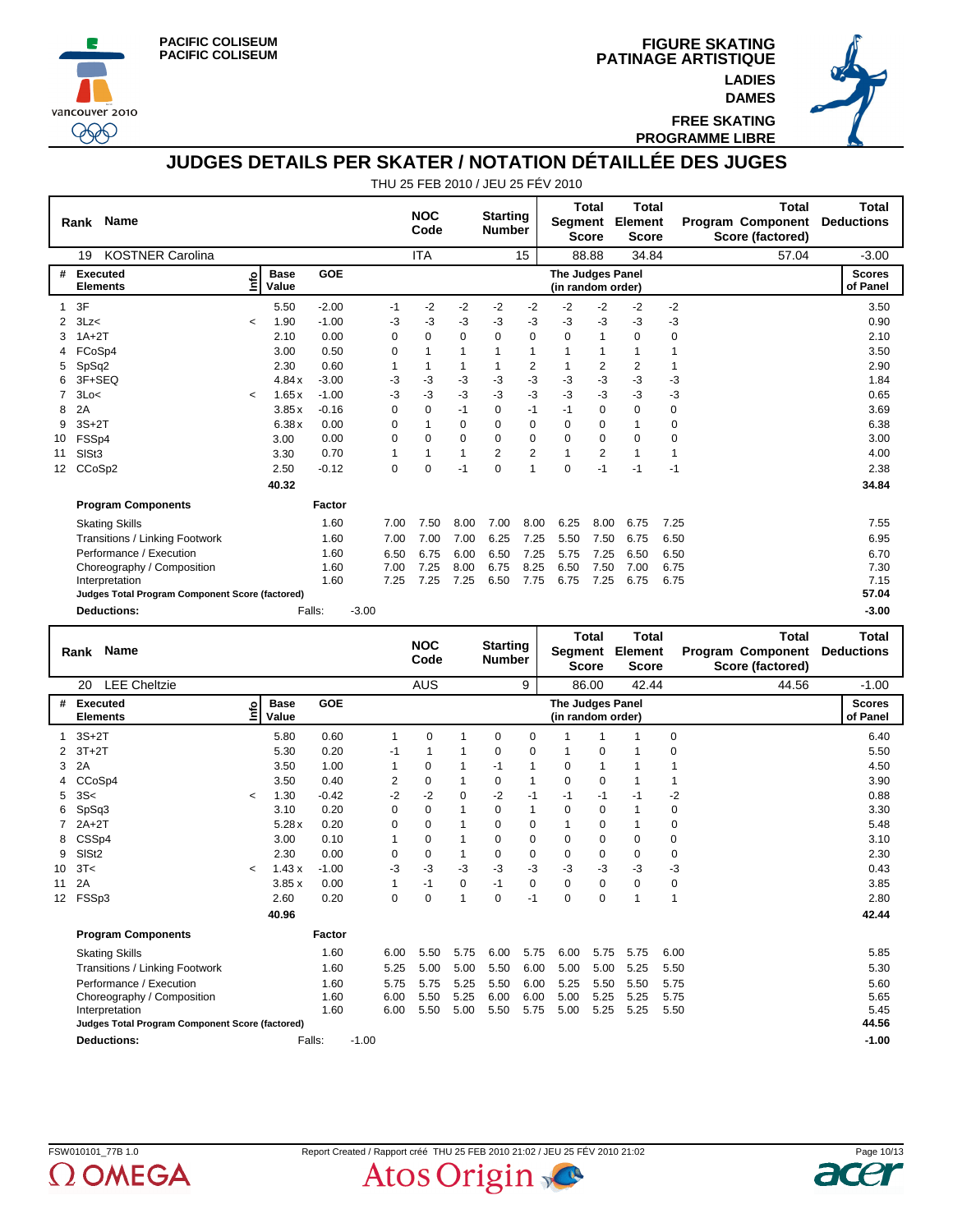





**FREE SKATING PROGRAMME LIBRE**

# **JUDGES DETAILS PER SKATER / NOTATION DÉTAILLÉE DES JUGES**

|                   | <b>Name</b><br>Rank                             |            |                      |         |         |          | <b>NOC</b><br>Code |          | <b>Starting</b><br><b>Number</b> |                | Segment                               | Total<br><b>Score</b> | <b>Total</b><br>Element<br><b>Score</b> |      | <b>Total</b><br>Program Component<br>Score (factored) | <b>Total</b><br><b>Deductions</b> |
|-------------------|-------------------------------------------------|------------|----------------------|---------|---------|----------|--------------------|----------|----------------------------------|----------------|---------------------------------------|-----------------------|-----------------------------------------|------|-------------------------------------------------------|-----------------------------------|
|                   | <b>KOSTNER Carolina</b><br>19                   |            |                      |         |         |          | <b>ITA</b>         |          |                                  | 15             |                                       | 88.88                 | 34.84                                   |      | 57.04                                                 | $-3.00$                           |
| #                 | Executed<br><b>Elements</b>                     | e          | <b>Base</b><br>Value | GOE     |         |          |                    |          |                                  |                | The Judges Panel<br>(in random order) |                       |                                         |      |                                                       | <b>Scores</b><br>of Panel         |
|                   | 3F                                              |            | 5.50                 | $-2.00$ |         | $-1$     | $-2$               | $-2$     | $-2$                             | $-2$           | $-2$                                  | $-2$                  | -2                                      | $-2$ |                                                       | 3.50                              |
| 2                 | 3Lz<                                            | $\prec$    | 1.90                 | $-1.00$ |         | $-3$     | -3                 | $-3$     | -3                               | $-3$           | $-3$                                  | $-3$                  | -3                                      | -3   |                                                       | 0.90                              |
| 3                 | $1A+2T$                                         |            | 2.10                 | 0.00    |         | $\Omega$ | $\Omega$           | $\Omega$ | $\Omega$                         | $\Omega$       | $\Omega$                              | 1                     | $\Omega$                                | 0    |                                                       | 2.10                              |
|                   | FCoSp4                                          |            | 3.00                 | 0.50    |         | 0        |                    |          |                                  | 1              |                                       |                       |                                         |      |                                                       | 3.50                              |
| 5                 | SpSq2                                           |            | 2.30                 | 0.60    |         |          |                    |          |                                  | $\overline{2}$ |                                       | 2                     | $\overline{2}$                          |      |                                                       | 2.90                              |
| 6                 | 3F+SEQ                                          |            | 4.84x                | $-3.00$ |         | -3       | -3                 | -3       | -3                               | $-3$           | -3                                    | -3                    | -3                                      | -3   |                                                       | 1.84                              |
|                   | 3Lo<                                            | $\tilde{}$ | 1.65x                | $-1.00$ |         | -3       | -3                 | $-3$     | -3                               | -3             | -3                                    | -3                    | -3                                      | -3   |                                                       | 0.65                              |
| 8                 | 2A                                              |            | 3.85x                | $-0.16$ |         | 0        | 0                  | $-1$     | 0                                | $-1$           | $-1$                                  | 0                     | 0                                       | 0    |                                                       | 3.69                              |
| 9                 | $3S+2T$                                         |            | 6.38x                | 0.00    |         | $\Omega$ |                    | $\Omega$ | $\Omega$                         | $\mathbf 0$    | $\Omega$                              | 0                     | 1                                       | 0    |                                                       | 6.38                              |
| 10                | FSSp4                                           |            | 3.00                 | 0.00    |         | 0        | 0                  | 0        | 0                                | 0              | 0                                     | 0                     | 0                                       | 0    |                                                       | 3.00                              |
| 11                | SISt <sub>3</sub>                               |            | 3.30                 | 0.70    |         |          |                    | 1        | $\overline{2}$                   | $\overline{2}$ | 1                                     | 2                     | 1                                       |      |                                                       | 4.00                              |
| $12 \overline{ }$ | CCoSp2                                          |            | 2.50                 | $-0.12$ |         | 0        | 0                  | $-1$     | $\Omega$                         | 1              | $\mathbf 0$                           | $-1$                  | $-1$                                    | $-1$ |                                                       | 2.38                              |
|                   |                                                 |            | 40.32                |         |         |          |                    |          |                                  |                |                                       |                       |                                         |      |                                                       | 34.84                             |
|                   | <b>Program Components</b>                       |            |                      | Factor  |         |          |                    |          |                                  |                |                                       |                       |                                         |      |                                                       |                                   |
|                   | <b>Skating Skills</b>                           |            |                      | 1.60    |         | 7.00     | 7.50               | 8.00     | 7.00                             | 8.00           | 6.25                                  | 8.00                  | 6.75                                    | 7.25 |                                                       | 7.55                              |
|                   | Transitions / Linking Footwork                  |            |                      | 1.60    |         | 7.00     | 7.00               | 7.00     | 6.25                             | 7.25           | 5.50                                  | 7.50                  | 6.75                                    | 6.50 |                                                       | 6.95                              |
|                   | Performance / Execution                         |            |                      | 1.60    |         | 6.50     | 6.75               | 6.00     | 6.50                             | 7.25           | 5.75                                  | 7.25                  | 6.50                                    | 6.50 |                                                       | 6.70                              |
|                   | Choreography / Composition                      |            |                      | 1.60    |         | 7.00     | 7.25               | 8.00     | 6.75                             | 8.25           | 6.50                                  | 7.50                  | 7.00                                    | 6.75 |                                                       | 7.30                              |
|                   | Interpretation                                  |            |                      | 1.60    |         | 7.25     | 7.25               | 7.25     | 6.50                             | 7.75           | 6.75                                  | 7.25                  | 6.75                                    | 6.75 |                                                       | 7.15                              |
|                   | Judges Total Program Component Score (factored) |            |                      |         |         |          |                    |          |                                  |                |                                       |                       |                                         |      |                                                       | 57.04                             |
|                   | <b>Deductions:</b>                              |            |                      | Falls:  | $-3.00$ |          |                    |          |                                  |                |                                       |                       |                                         |      |                                                       | $-3.00$                           |

|                 | <b>Name</b><br>Rank                             |            |                      |         |         |              | <b>NOC</b><br>Code |          | <b>Starting</b><br><b>Number</b> |              | Segment                               | Total<br><b>Score</b> | Total<br>Element<br><b>Score</b> |                | Total<br><b>Program Component</b><br>Score (factored) | Total<br><b>Deductions</b> |
|-----------------|-------------------------------------------------|------------|----------------------|---------|---------|--------------|--------------------|----------|----------------------------------|--------------|---------------------------------------|-----------------------|----------------------------------|----------------|-------------------------------------------------------|----------------------------|
|                 | <b>LEE Cheltzie</b><br>20                       |            |                      |         |         |              | <b>AUS</b>         |          |                                  | 9            |                                       | 86.00                 | 42.44                            |                | 44.56                                                 | $-1.00$                    |
| #               | <b>Executed</b><br><b>Elements</b>              | <u>nfo</u> | <b>Base</b><br>Value | GOE     |         |              |                    |          |                                  |              | The Judges Panel<br>(in random order) |                       |                                  |                |                                                       | <b>Scores</b><br>of Panel  |
|                 | $3S+2T$                                         |            | 5.80                 | 0.60    |         | $\mathbf{1}$ | $\Omega$           | 1        | $\Omega$                         | 0            |                                       | 1                     | ٠                                | 0              |                                                       | 6.40                       |
| 2               | $3T+2T$                                         |            | 5.30                 | 0.20    |         | $-1$         | $\overline{1}$     | 1        | 0                                | $\mathbf 0$  | 1                                     | $\mathbf 0$           |                                  | $\mathbf 0$    |                                                       | 5.50                       |
| 3               | 2A                                              |            | 3.50                 | 1.00    |         | 1            | 0                  |          | $-1$                             |              | $\mathbf 0$                           | 1                     |                                  |                |                                                       | 4.50                       |
|                 | CCoSp4                                          |            | 3.50                 | 0.40    |         | 2            | 0                  | 1        | 0                                | $\mathbf{1}$ | 0                                     | 0                     |                                  |                |                                                       | 3.90                       |
| 5               | 3S<                                             | $\prec$    | 1.30                 | $-0.42$ |         | $-2$         | $-2$               | $\Omega$ | $-2$                             | $-1$         | $-1$                                  | $-1$                  | -1                               | $-2$           |                                                       | 0.88                       |
| 6               | SpSq3                                           |            | 3.10                 | 0.20    |         | 0            | 0                  | 1        | 0                                | $\mathbf{1}$ | 0                                     | $\mathbf 0$           |                                  | 0              |                                                       | 3.30                       |
|                 | $2A+2T$                                         |            | 5.28x                | 0.20    |         | 0            | 0                  | 1        | 0                                | 0            | $\mathbf{1}$                          | 0                     |                                  | $\mathbf 0$    |                                                       | 5.48                       |
| 8               | CSSp4                                           |            | 3.00                 | 0.10    |         | 1            | $\Omega$           | 1        | $\mathbf 0$                      | 0            | $\mathbf 0$                           | $\mathbf 0$           | 0                                | $\mathbf 0$    |                                                       | 3.10                       |
| 9               | SIS <sub>t2</sub>                               |            | 2.30                 | 0.00    |         | 0            | 0                  | 1        | 0                                | $\mathbf 0$  | 0                                     | 0                     | 0                                | 0              |                                                       | 2.30                       |
| 10              | 3T<                                             | $\prec$    | 1.43x                | $-1.00$ |         | -3           | $-3$               | -3       | -3                               | -3           | -3                                    | -3                    | -3                               | -3             |                                                       | 0.43                       |
| 11              | 2A                                              |            | 3.85x                | 0.00    |         | $\mathbf{1}$ | $-1$               | 0        | $-1$                             | $\mathbf 0$  | $\Omega$                              | $\mathbf 0$           | $\Omega$                         | 0              |                                                       | 3.85                       |
| 12 <sup>2</sup> | FSSp3                                           |            | 2.60                 | 0.20    |         | $\mathbf 0$  | 0                  | 1        | $\Omega$                         | $-1$         | $\mathbf 0$                           | $\mathbf 0$           | 1                                | $\overline{1}$ |                                                       | 2.80                       |
|                 |                                                 |            | 40.96                |         |         |              |                    |          |                                  |              |                                       |                       |                                  |                |                                                       | 42.44                      |
|                 | <b>Program Components</b>                       |            |                      | Factor  |         |              |                    |          |                                  |              |                                       |                       |                                  |                |                                                       |                            |
|                 | <b>Skating Skills</b>                           |            |                      | 1.60    |         | 6.00         | 5.50               | 5.75     | 6.00                             | 5.75         | 6.00                                  | 5.75                  | 5.75                             | 6.00           |                                                       | 5.85                       |
|                 | Transitions / Linking Footwork                  |            |                      | 1.60    |         | 5.25         | 5.00               | 5.00     | 5.50                             | 6.00         | 5.00                                  | 5.00                  | 5.25                             | 5.50           |                                                       | 5.30                       |
|                 | Performance / Execution                         |            |                      | 1.60    |         | 5.75         | 5.75               | 5.25     | 5.50                             | 6.00         | 5.25                                  | 5.50                  | 5.50                             | 5.75           |                                                       | 5.60                       |
|                 | Choreography / Composition                      |            |                      | 1.60    |         | 6.00         | 5.50               | 5.25     | 6.00                             | 6.00         | 5.00                                  | 5.25                  | 5.25                             | 5.75           |                                                       | 5.65                       |
|                 | Interpretation                                  |            |                      | 1.60    |         | 6.00         | 5.50               | 5.00     | 5.50                             | 5.75         | 5.00                                  | 5.25                  | 5.25                             | 5.50           |                                                       | 5.45                       |
|                 | Judges Total Program Component Score (factored) |            |                      |         |         |              |                    |          |                                  |              |                                       |                       |                                  |                |                                                       | 44.56                      |
|                 | <b>Deductions:</b>                              |            |                      | Falls:  | $-1.00$ |              |                    |          |                                  |              |                                       |                       |                                  |                |                                                       | $-1.00$                    |



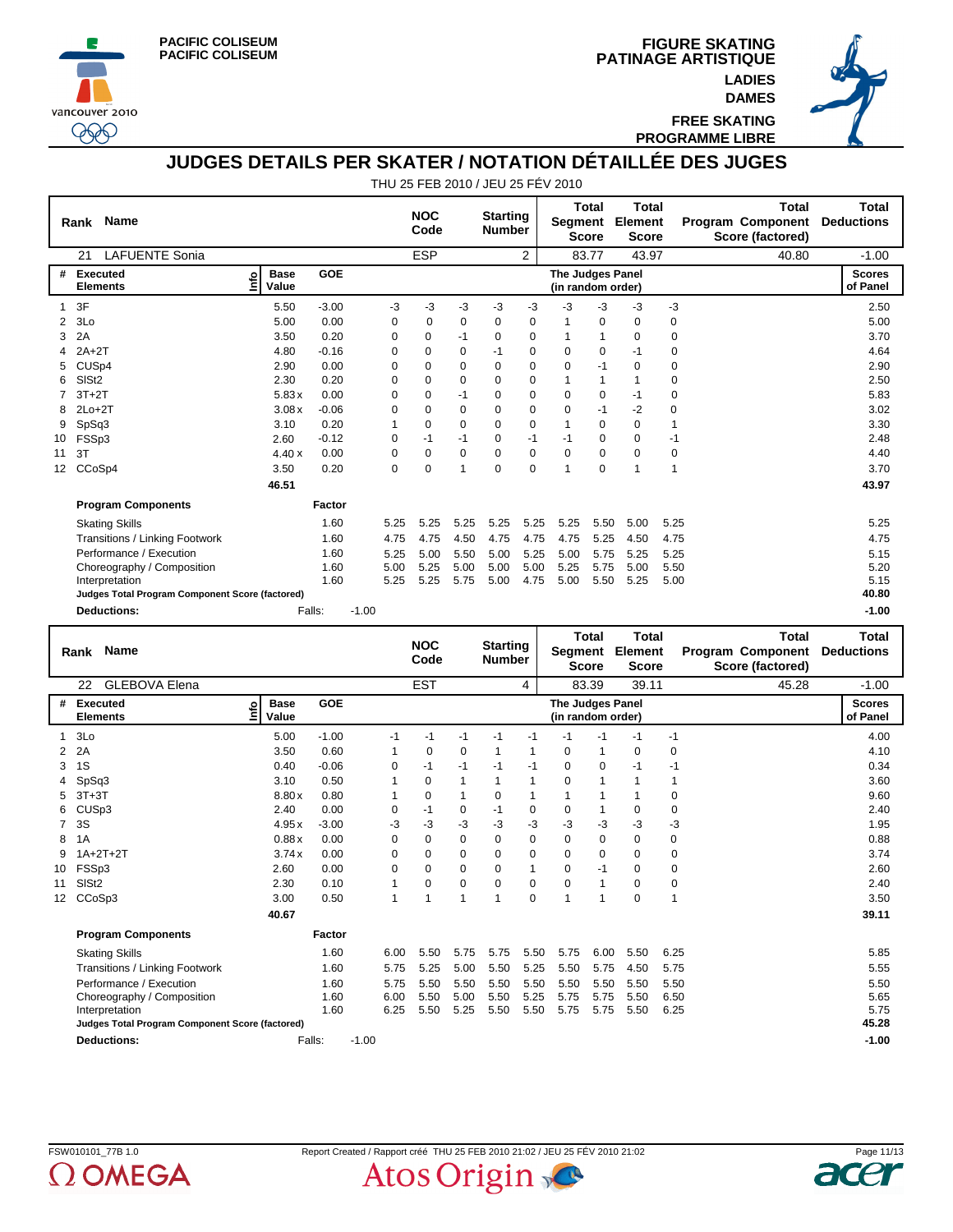





**FREE SKATING PROGRAMME LIBRE**

**DAMES**

## **JUDGES DETAILS PER SKATER / NOTATION DÉTAILLÉE DES JUGES**

|                   | <b>Name</b><br>Rank                             |                           |            |          | <b>NOC</b><br>Code |          | <b>Starting</b><br><b>Number</b> |             | Segment                                      | <b>Total</b><br><b>Score</b> | <b>Total</b><br>Element<br><b>Score</b> |             | <b>Total</b><br><b>Program Component</b><br>Score (factored) | <b>Total</b><br><b>Deductions</b> |
|-------------------|-------------------------------------------------|---------------------------|------------|----------|--------------------|----------|----------------------------------|-------------|----------------------------------------------|------------------------------|-----------------------------------------|-------------|--------------------------------------------------------------|-----------------------------------|
|                   | <b>LAFUENTE Sonia</b><br>21                     |                           |            |          | <b>ESP</b>         |          |                                  | 2           |                                              | 83.77                        | 43.97                                   |             | 40.80                                                        | $-1.00$                           |
| #                 | Executed<br><b>Elements</b>                     | <b>Base</b><br>e<br>Value | <b>GOE</b> |          |                    |          |                                  |             | <b>The Judges Panel</b><br>(in random order) |                              |                                         |             |                                                              | <b>Scores</b><br>of Panel         |
|                   | 3F                                              | 5.50                      | $-3.00$    | -3       | -3                 | -3       | $-3$                             | -3          | $-3$                                         | $-3$                         | -3                                      | $-3$        |                                                              | 2.50                              |
| 2                 | 3Lo                                             | 5.00                      | 0.00       | 0        | 0                  | 0        | 0                                | 0           |                                              | 0                            | $\mathbf 0$                             | 0           |                                                              | 5.00                              |
| 3                 | 2A                                              | 3.50                      | 0.20       | 0        | 0                  | $-1$     | 0                                | 0           |                                              | 1                            | 0                                       | 0           |                                                              | 3.70                              |
|                   | $2A+2T$                                         | 4.80                      | $-0.16$    | $\Omega$ | 0                  | 0        | $-1$                             | 0           | 0                                            | 0                            | -1                                      | 0           |                                                              | 4.64                              |
| 5                 | CUS <sub>p4</sub>                               | 2.90                      | 0.00       | $\Omega$ | 0                  | 0        | $\Omega$                         | 0           | $\Omega$                                     | $-1$                         | 0                                       | 0           |                                                              | 2.90                              |
| 6                 | SISt <sub>2</sub>                               | 2.30                      | 0.20       | $\Omega$ | $\Omega$           | 0        | $\Omega$                         | 0           | 1                                            | 1                            | 1                                       | 0           |                                                              | 2.50                              |
|                   | $3T+2T$                                         | 5.83x                     | 0.00       | 0        | 0                  | $-1$     | 0                                | $\mathbf 0$ | $\mathbf 0$                                  | 0                            | -1                                      | $\mathbf 0$ |                                                              | 5.83                              |
| 8                 | $2Lo+2T$                                        | 3.08x                     | $-0.06$    | $\Omega$ | 0                  | 0        | $\Omega$                         | $\mathbf 0$ | $\Omega$                                     | $-1$                         | -2                                      | 0           |                                                              | 3.02                              |
| 9                 | SpSq3                                           | 3.10                      | 0.20       |          | $\Omega$           | $\Omega$ | $\Omega$                         | 0           | 1                                            | 0                            | 0                                       | 1           |                                                              | 3.30                              |
| 10                | FSSp3                                           | 2.60                      | $-0.12$    | 0        | $-1$               | $-1$     | 0                                | $-1$        | $-1$                                         | 0                            | 0                                       | $-1$        |                                                              | 2.48                              |
| 11                | 3T                                              | 4.40x                     | 0.00       | 0        | $\Omega$           | 0        | 0                                | 0           | $\Omega$                                     | 0                            | 0                                       | 0           |                                                              | 4.40                              |
| $12 \overline{ }$ | CCoSp4                                          | 3.50                      | 0.20       | 0        | 0                  | 1        | $\Omega$                         | 0           | 1                                            | 0                            | 1                                       |             |                                                              | 3.70                              |
|                   |                                                 | 46.51                     |            |          |                    |          |                                  |             |                                              |                              |                                         |             |                                                              | 43.97                             |
|                   | <b>Program Components</b>                       |                           | Factor     |          |                    |          |                                  |             |                                              |                              |                                         |             |                                                              |                                   |
|                   | <b>Skating Skills</b>                           |                           | 1.60       | 5.25     | 5.25               | 5.25     | 5.25                             | 5.25        | 5.25                                         | 5.50                         | 5.00                                    | 5.25        |                                                              | 5.25                              |
|                   | Transitions / Linking Footwork                  |                           | 1.60       | 4.75     | 4.75               | 4.50     | 4.75                             | 4.75        | 4.75                                         | 5.25                         | 4.50                                    | 4.75        |                                                              | 4.75                              |
|                   | Performance / Execution                         |                           | 1.60       | 5.25     | 5.00               | 5.50     | 5.00                             | 5.25        | 5.00                                         | 5.75                         | 5.25                                    | 5.25        |                                                              | 5.15                              |
|                   | Choreography / Composition                      |                           | 1.60       | 5.00     | 5.25               | 5.00     | 5.00                             | 5.00        | 5.25                                         | 5.75                         | 5.00                                    | 5.50        |                                                              | 5.20                              |
|                   | Interpretation                                  |                           | 1.60       | 5.25     | 5.25               | 5.75     | 5.00                             | 4.75        | 5.00                                         | 5.50                         | 5.25                                    | 5.00        |                                                              | 5.15                              |
|                   | Judges Total Program Component Score (factored) |                           |            |          |                    |          |                                  |             |                                              |                              |                                         |             |                                                              | 40.80                             |
|                   | <b>Deductions:</b>                              | Falls:                    |            | $-1.00$  |                    |          |                                  |             |                                              |                              |                                         |             |                                                              | $-1.00$                           |

|                 | <b>Name</b><br>Rank                             |                            |            |         |              | <b>NOC</b><br>Code |             | <b>Starting</b><br><b>Number</b> |              | Segment<br><b>Score</b>               | <b>Total</b>   | <b>Total</b><br>Element<br><b>Score</b> |                | <b>Total</b><br>Program Component<br>Score (factored) | <b>Total</b><br><b>Deductions</b> |
|-----------------|-------------------------------------------------|----------------------------|------------|---------|--------------|--------------------|-------------|----------------------------------|--------------|---------------------------------------|----------------|-----------------------------------------|----------------|-------------------------------------------------------|-----------------------------------|
|                 | <b>GLEBOVA Elena</b><br>22                      |                            |            |         |              | <b>EST</b>         |             |                                  | 4            |                                       | 83.39          | 39.11                                   |                | 45.28                                                 | $-1.00$                           |
| #               | Executed<br><b>Elements</b>                     | <b>Base</b><br>۴۵<br>Value | <b>GOE</b> |         |              |                    |             |                                  |              | The Judges Panel<br>(in random order) |                |                                         |                |                                                       | <b>Scores</b><br>of Panel         |
| 1               | 3Lo                                             | 5.00                       | $-1.00$    |         | $-1$         | $-1$               | $-1$        | $-1$                             | $-1$         | $-1$                                  | $-1$           | $-1$                                    | $-1$           |                                                       | 4.00                              |
| 2               | 2A                                              | 3.50                       | 0.60       |         | 1            | $\mathbf 0$        | $\mathbf 0$ | 1                                | 1            | 0                                     | $\mathbf 1$    | 0                                       | 0              |                                                       | 4.10                              |
| 3               | 1S                                              | 0.40                       | $-0.06$    |         | 0            | $-1$               | $-1$        | $-1$                             | $-1$         | 0                                     | 0              | -1                                      | $-1$           |                                                       | 0.34                              |
|                 | SpSq3                                           | 3.10                       | 0.50       |         |              | 0                  | 1           | 1                                | $\mathbf{1}$ | $\mathbf 0$                           | $\overline{1}$ |                                         | 1              |                                                       | 3.60                              |
| 5               | $3T+3T$                                         | 8.80x                      | 0.80       |         |              | $\Omega$           | 1           | 0                                | $\mathbf{1}$ |                                       | 1              |                                         | 0              |                                                       | 9.60                              |
| 6               | CUS <sub>p3</sub>                               | 2.40                       | 0.00       |         | 0            | $-1$               | 0           | -1                               | 0            | 0                                     | $\mathbf 1$    | 0                                       | 0              |                                                       | 2.40                              |
| 7               | 3S                                              | 4.95x                      | $-3.00$    |         | -3           | -3                 | -3          | -3                               | -3           | -3                                    | -3             | -3                                      | -3             |                                                       | 1.95                              |
| 8               | 1A                                              | 0.88x                      | 0.00       |         | $\Omega$     | 0                  | 0           | $\Omega$                         | $\mathbf 0$  | 0                                     | 0              | $\Omega$                                | 0              |                                                       | 0.88                              |
| 9               | $1A+2T+2T$                                      | 3.74x                      | 0.00       |         | $\mathbf 0$  | 0                  | 0           | 0                                | $\mathbf 0$  | 0                                     | 0              | 0                                       | 0              |                                                       | 3.74                              |
| 10              | FSSp3                                           | 2.60                       | 0.00       |         | $\Omega$     | 0                  | $\Omega$    | $\Omega$                         | $\mathbf{1}$ | $\Omega$                              | $-1$           | $\Omega$                                | 0              |                                                       | 2.60                              |
| 11              | SIS <sub>t2</sub>                               | 2.30                       | 0.10       |         | 1            | 0                  | 0           | 0                                | 0            | $\mathbf 0$                           | $\mathbf{1}$   | 0                                       | 0              |                                                       | 2.40                              |
| 12 <sup>2</sup> | CCoSp3                                          | 3.00                       | 0.50       |         | $\mathbf{1}$ | 1                  | 1           | 1                                | $\mathbf 0$  | $\overline{ }$                        | 1              | 0                                       | $\overline{1}$ |                                                       | 3.50                              |
|                 |                                                 | 40.67                      |            |         |              |                    |             |                                  |              |                                       |                |                                         |                |                                                       | 39.11                             |
|                 | <b>Program Components</b>                       |                            | Factor     |         |              |                    |             |                                  |              |                                       |                |                                         |                |                                                       |                                   |
|                 | <b>Skating Skills</b>                           |                            | 1.60       |         | 6.00         | 5.50               | 5.75        | 5.75                             | 5.50         | 5.75                                  | 6.00           | 5.50                                    | 6.25           |                                                       | 5.85                              |
|                 | Transitions / Linking Footwork                  |                            | 1.60       |         | 5.75         | 5.25               | 5.00        | 5.50                             | 5.25         | 5.50                                  | 5.75           | 4.50                                    | 5.75           |                                                       | 5.55                              |
|                 | Performance / Execution                         |                            | 1.60       |         | 5.75         | 5.50               | 5.50        | 5.50                             | 5.50         | 5.50                                  | 5.50           | 5.50                                    | 5.50           |                                                       | 5.50                              |
|                 | Choreography / Composition                      |                            | 1.60       |         | 6.00         | 5.50               | 5.00        | 5.50                             | 5.25         | 5.75                                  | 5.75           | 5.50                                    | 6.50           |                                                       | 5.65                              |
|                 | Interpretation                                  |                            | 1.60       |         | 6.25         | 5.50               | 5.25        | 5.50                             | 5.50         | 5.75                                  | 5.75           | 5.50                                    | 6.25           |                                                       | 5.75                              |
|                 | Judges Total Program Component Score (factored) |                            |            |         |              |                    |             |                                  |              |                                       |                |                                         |                |                                                       | 45.28                             |
|                 | <b>Deductions:</b>                              | Falls:                     |            | $-1.00$ |              |                    |             |                                  |              |                                       |                |                                         |                |                                                       | $-1.00$                           |



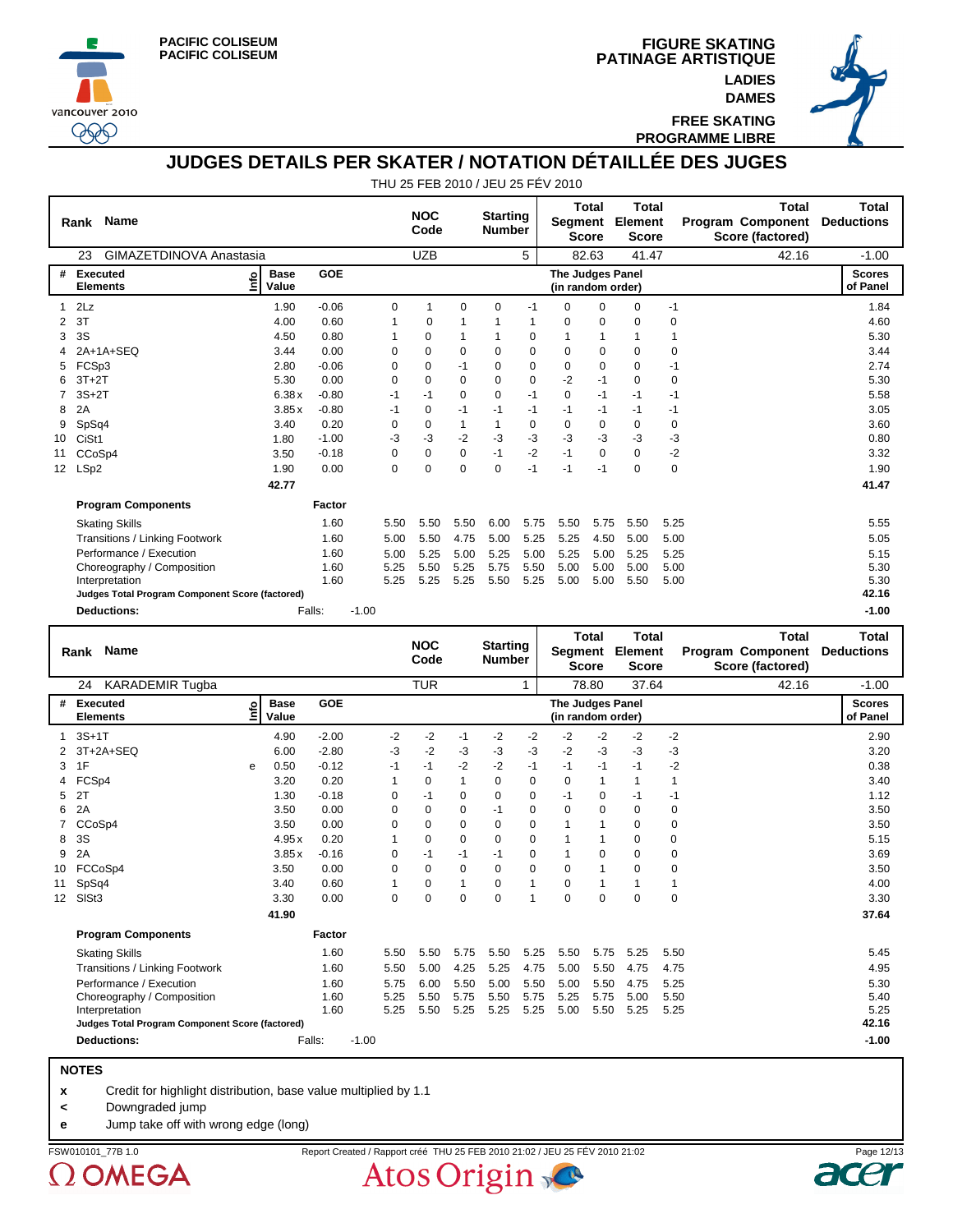





**FREE SKATING PROGRAMME LIBRE**

**DAMES**

## **JUDGES DETAILS PER SKATER / NOTATION DÉTAILLÉE DES JUGES**

THU 25 FEB 2010 / JEU 25 FÉV 2010

|                 | <b>Name</b><br>Rank                             |                                  |            |         |          | <b>NOC</b><br>Code |          | <b>Starting</b><br><b>Number</b> |      | Segment                               | <b>Total</b><br>Score | <b>Total</b><br>Element<br><b>Score</b> |             | <b>Total</b><br><b>Program Component</b><br>Score (factored) | <b>Total</b><br><b>Deductions</b> |
|-----------------|-------------------------------------------------|----------------------------------|------------|---------|----------|--------------------|----------|----------------------------------|------|---------------------------------------|-----------------------|-----------------------------------------|-------------|--------------------------------------------------------------|-----------------------------------|
|                 | GIMAZETDINOVA Anastasia<br>23                   |                                  |            |         |          | <b>UZB</b>         |          |                                  | 5    |                                       | 82.63                 | 41.47                                   |             | 42.16                                                        | $-1.00$                           |
| #               | <b>Executed</b><br><b>Elements</b>              | <b>Base</b><br><u>f</u><br>Value | <b>GOE</b> |         |          |                    |          |                                  |      | The Judges Panel<br>(in random order) |                       |                                         |             |                                                              | <b>Scores</b><br>of Panel         |
|                 | 2Lz                                             | 1.90                             | $-0.06$    |         | 0        | 1                  | 0        | $\Omega$                         | -1   | $\Omega$                              | $\Omega$              | $\Omega$                                | $-1$        |                                                              | 1.84                              |
| 2               | 3T                                              | 4.00                             | 0.60       |         |          | 0                  |          |                                  |      | 0                                     | 0                     | $\Omega$                                | 0           |                                                              | 4.60                              |
| 3               | 3S                                              | 4.50                             | 0.80       |         |          | 0                  |          |                                  | 0    | 1                                     |                       |                                         |             |                                                              | 5.30                              |
|                 | 2A+1A+SEQ                                       | 3.44                             | 0.00       |         | 0        | $\Omega$           | $\Omega$ | 0                                | 0    | $\Omega$                              | 0                     | 0                                       | 0           |                                                              | 3.44                              |
| 5               | FCSp3                                           | 2.80                             | $-0.06$    |         | 0        | $\Omega$           | $-1$     | $\Omega$                         | 0    | 0                                     | 0                     | $\Omega$                                | $-1$        |                                                              | 2.74                              |
| 6               | $3T+2T$                                         | 5.30                             | 0.00       |         | $\Omega$ | $\Omega$           | $\Omega$ | $\Omega$                         | 0    | $-2$                                  | $-1$                  | $\Omega$                                | 0           |                                                              | 5.30                              |
|                 | $3S+2T$                                         | 6.38x                            | $-0.80$    |         | -1       | -1                 | 0        | 0                                | $-1$ | 0                                     | $-1$                  | $-1$                                    | -1          |                                                              | 5.58                              |
| 8               | 2A                                              | 3.85x                            | $-0.80$    |         | $-1$     | $\Omega$           | $-1$     | $-1$                             | $-1$ | $-1$                                  | $-1$                  | -1                                      | -1          |                                                              | 3.05                              |
| 9               | SpSq4                                           | 3.40                             | 0.20       |         | 0        | 0                  |          | 1                                | 0    | 0                                     | 0                     | 0                                       | 0           |                                                              | 3.60                              |
| 10              | CiSt1                                           | 1.80                             | $-1.00$    |         | $-3$     | -3                 | $-2$     | -3                               | $-3$ | $-3$                                  | $-3$                  | -3                                      | $-3$        |                                                              | 0.80                              |
| 11              | CCoSp4                                          | 3.50                             | $-0.18$    |         | 0        | 0                  | 0        | $-1$                             | $-2$ | $-1$                                  | 0                     | $\Omega$                                | $-2$        |                                                              | 3.32                              |
| 12 <sup>2</sup> | LSp2                                            | 1.90                             | 0.00       |         | 0        | $\Omega$           | $\Omega$ | $\Omega$                         | $-1$ | $-1$                                  | $-1$                  | $\Omega$                                | $\mathbf 0$ |                                                              | 1.90                              |
|                 |                                                 | 42.77                            |            |         |          |                    |          |                                  |      |                                       |                       |                                         |             |                                                              | 41.47                             |
|                 | <b>Program Components</b>                       |                                  | Factor     |         |          |                    |          |                                  |      |                                       |                       |                                         |             |                                                              |                                   |
|                 | <b>Skating Skills</b>                           |                                  | 1.60       |         | 5.50     | 5.50               | 5.50     | 6.00                             | 5.75 | 5.50                                  | 5.75                  | 5.50                                    | 5.25        |                                                              | 5.55                              |
|                 | Transitions / Linking Footwork                  |                                  | 1.60       |         | 5.00     | 5.50               | 4.75     | 5.00                             | 5.25 | 5.25                                  | 4.50                  | 5.00                                    | 5.00        |                                                              | 5.05                              |
|                 | Performance / Execution                         |                                  | 1.60       |         | 5.00     | 5.25               | 5.00     | 5.25                             | 5.00 | 5.25                                  | 5.00                  | 5.25                                    | 5.25        |                                                              | 5.15                              |
|                 | Choreography / Composition                      |                                  | 1.60       |         | 5.25     | 5.50               | 5.25     | 5.75                             | 5.50 | 5.00                                  | 5.00                  | 5.00                                    | 5.00        |                                                              | 5.30                              |
|                 | Interpretation                                  |                                  | 1.60       |         | 5.25     | 5.25               | 5.25     | 5.50                             | 5.25 | 5.00                                  | 5.00                  | 5.50                                    | 5.00        |                                                              | 5.30                              |
|                 | Judges Total Program Component Score (factored) |                                  |            |         |          |                    |          |                                  |      |                                       |                       |                                         |             |                                                              | 42.16                             |
|                 | <b>Deductions:</b>                              | Falls:                           |            | $-1.00$ |          |                    |          |                                  |      |                                       |                       |                                         |             |                                                              | $-1.00$                           |

|                   | <b>Name</b><br>Rank                             |            |                      |            |         |             | <b>NOC</b><br>Code |              | <b>Starting</b><br><b>Number</b> |              | Segment                               | <b>Total</b><br><b>Score</b> | <b>Total</b><br>Element<br><b>Score</b> |      | <b>Total</b><br><b>Program Component</b><br>Score (factored) | Total<br><b>Deductions</b> |
|-------------------|-------------------------------------------------|------------|----------------------|------------|---------|-------------|--------------------|--------------|----------------------------------|--------------|---------------------------------------|------------------------------|-----------------------------------------|------|--------------------------------------------------------------|----------------------------|
|                   | <b>KARADEMIR Tugba</b><br>24                    |            |                      |            |         |             | <b>TUR</b>         |              |                                  | 1            |                                       | 78.80                        | 37.64                                   |      | 42.16                                                        | $-1.00$                    |
| #                 | <b>Executed</b><br><b>Elements</b>              | <u>nfo</u> | <b>Base</b><br>Value | <b>GOE</b> |         |             |                    |              |                                  |              | The Judges Panel<br>(in random order) |                              |                                         |      |                                                              | <b>Scores</b><br>of Panel  |
|                   | $3S+1T$                                         |            | 4.90                 | $-2.00$    |         | $-2$        | $-2$               | $-1$         | $-2$                             | $-2$         | $-2$                                  | $-2$                         | $-2$                                    | $-2$ |                                                              | 2.90                       |
|                   | 3T+2A+SEQ                                       |            | 6.00                 | $-2.80$    |         | -3          | $-2$               | -3           | -3                               | -3           | -2                                    | $-3$                         | -3                                      | -3   |                                                              | 3.20                       |
| 3                 | 1F                                              | е          | 0.50                 | $-0.12$    |         | -1          | $-1$               | $-2$         | $-2$                             | $-1$         | $-1$                                  | $-1$                         | $-1$                                    | $-2$ |                                                              | 0.38                       |
| 4                 | FCSp4                                           |            | 3.20                 | 0.20       |         | 1           | $\Omega$           | 1            | $\Omega$                         | 0            | $\Omega$                              | $\mathbf{1}$                 |                                         | 1    |                                                              | 3.40                       |
| 5                 | 2T                                              |            | 1.30                 | $-0.18$    |         | 0           | $-1$               | 0            | $\Omega$                         | 0            | $-1$                                  | 0                            | -1                                      | $-1$ |                                                              | 1.12                       |
| 6                 | 2A                                              |            | 3.50                 | 0.00       |         | 0           | $\Omega$           | 0            | $-1$                             | $\mathbf 0$  | $\Omega$                              | 0                            | 0                                       | 0    |                                                              | 3.50                       |
|                   | CCoSp4                                          |            | 3.50                 | 0.00       |         | $\Omega$    | $\Omega$           | 0            | 0                                | 0            | 1                                     | 1                            | $\Omega$                                | 0    |                                                              | 3.50                       |
| 8                 | 3S                                              |            | 4.95x                | 0.20       |         |             | 0                  | 0            | 0                                | $\mathbf 0$  |                                       | 1                            | 0                                       | 0    |                                                              | 5.15                       |
| 9                 | 2A                                              |            | 3.85x                | $-0.16$    |         | $\Omega$    | $-1$               | $-1$         | $-1$                             | $\mathbf 0$  | 1                                     | 0                            | $\Omega$                                | 0    |                                                              | 3.69                       |
| 10                | FCCoSp4                                         |            | 3.50                 | 0.00       |         | $\mathbf 0$ | 0                  | $\mathbf 0$  | $\mathbf 0$                      | $\mathbf 0$  | 0                                     | 1                            | 0                                       | 0    |                                                              | 3.50                       |
| 11                | SpSq4                                           |            | 3.40                 | 0.60       |         | 1           | $\Omega$           | $\mathbf{1}$ | $\Omega$                         | $\mathbf{1}$ | 0                                     | 1                            |                                         | 1    |                                                              | 4.00                       |
| $12 \overline{ }$ | SISt3                                           |            | 3.30                 | 0.00       |         | $\mathbf 0$ | $\Omega$           | $\Omega$     | $\Omega$                         | 1            | $\Omega$                              | $\Omega$                     | $\Omega$                                | 0    |                                                              | 3.30                       |
|                   |                                                 |            | 41.90                |            |         |             |                    |              |                                  |              |                                       |                              |                                         |      |                                                              | 37.64                      |
|                   | <b>Program Components</b>                       |            |                      | Factor     |         |             |                    |              |                                  |              |                                       |                              |                                         |      |                                                              |                            |
|                   | <b>Skating Skills</b>                           |            |                      | 1.60       |         | 5.50        | 5.50               | 5.75         | 5.50                             | 5.25         | 5.50                                  | 5.75                         | 5.25                                    | 5.50 |                                                              | 5.45                       |
|                   | <b>Transitions / Linking Footwork</b>           |            |                      | 1.60       |         | 5.50        | 5.00               | 4.25         | 5.25                             | 4.75         | 5.00                                  | 5.50                         | 4.75                                    | 4.75 |                                                              | 4.95                       |
|                   | Performance / Execution                         |            |                      | 1.60       |         | 5.75        | 6.00               | 5.50         | 5.00                             | 5.50         | 5.00                                  | 5.50                         | 4.75                                    | 5.25 |                                                              | 5.30                       |
|                   | Choreography / Composition                      |            |                      | 1.60       |         | 5.25        | 5.50               | 5.75         | 5.50                             | 5.75         | 5.25                                  | 5.75                         | 5.00                                    | 5.50 |                                                              | 5.40                       |
|                   | Interpretation                                  |            |                      | 1.60       |         | 5.25        | 5.50               | 5.25         | 5.25                             | 5.25         | 5.00                                  | 5.50                         | 5.25                                    | 5.25 |                                                              | 5.25                       |
|                   | Judges Total Program Component Score (factored) |            |                      |            |         |             |                    |              |                                  |              |                                       |                              |                                         |      |                                                              | 42.16                      |
|                   | <b>Deductions:</b>                              |            |                      | Falls:     | $-1.00$ |             |                    |              |                                  |              |                                       |                              |                                         |      |                                                              | $-1.00$                    |

#### **NOTES**

**x** Credit for highlight distribution, base value multiplied by 1.1

**<** Downgraded jump

**e** Jump take off with wrong edge (long)

 $\Omega$  OMEGA